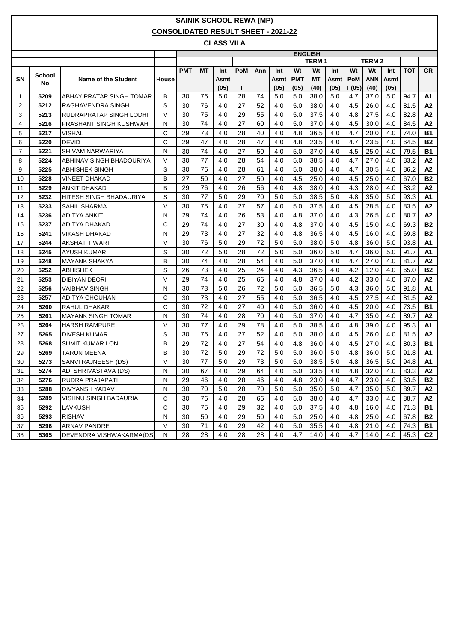|                |              |                           |                                            |            |           | <b>SAINIK SCHOOL REWA (MP)</b> |            |     |      |            |                |      |            |              |      |            |                |
|----------------|--------------|---------------------------|--------------------------------------------|------------|-----------|--------------------------------|------------|-----|------|------------|----------------|------|------------|--------------|------|------------|----------------|
|                |              |                           | <b>CONSOLIDATED RESULT SHEET - 2021-22</b> |            |           |                                |            |     |      |            |                |      |            |              |      |            |                |
|                |              |                           |                                            |            |           | <b>CLASS VII A</b>             |            |     |      |            |                |      |            |              |      |            |                |
|                |              |                           |                                            |            |           |                                |            |     |      |            | <b>ENGLISH</b> |      |            |              |      |            |                |
|                |              |                           |                                            |            |           |                                |            |     |      |            | <b>TERM1</b>   |      |            | <b>TERM2</b> |      |            |                |
|                |              |                           |                                            | <b>PMT</b> | <b>MT</b> | Int                            | <b>PoM</b> | Ann | Int  | Wt         | Wt             | Int  | Wt         | Wt           | Int  | <b>TOT</b> | <b>GR</b>      |
| <b>SN</b>      | School<br>No | Name of the Student       | House                                      |            |           | Asmt                           |            |     | Asmt | <b>PMT</b> | <b>MT</b>      | Asmt | <b>PoM</b> | <b>ANN</b>   | Asmt |            |                |
|                |              |                           |                                            |            |           | (05)                           | Т          |     | (05) | (05)       | (40)           | (05) | T(05)      | (40)         | (05) |            |                |
| 1              | 5209         | ABHAY PRATAP SINGH TOMAR  | в                                          | 30         | 76        | 5.0                            | 28         | 74  | 5.0  | 5.0        | 38.0           | 5.0  | 4.7        | 37.0         | 5.0  | 94.7       | A1             |
| 2              | 5212         | RAGHAVENDRA SINGH         | S                                          | 30         | 76        | 4.0                            | 27         | 52  | 4.0  | 5.0        | 38.0           | 4.0  | 4.5        | 26.0         | 4.0  | 81.5       | A2             |
| 3              | 5213         | RUDRAPRATAP SINGH LODHI   | V                                          | 30         | 75        | 4.0                            | 29         | 55  | 4.0  | 5.0        | 37.5           | 4.0  | 4.8        | 27.5         | 4.0  | 82.8       | A <sub>2</sub> |
| $\overline{4}$ | 5216         | PRASHANT SINGH KUSHWAH    | N                                          | 30         | 74        | 4.0                            | 27         | 60  | 4.0  | 5.0        | 37.0           | 4.0  | 4.5        | 30.0         | 4.0  | 84.5       | A2             |
| 5              | 5217         | VISHAL                    | С                                          | 29         | 73        | 4.0                            | 28         | 40  | 4.0  | 4.8        | 36.5           | 4.0  | 4.7        | 20.0         | 4.0  | 74.0       | <b>B1</b>      |
| 6              | 5220         | <b>DEVID</b>              | C                                          | 29         | 47        | 4.0                            | 28         | 47  | 4.0  | 4.8        | 23.5           | 4.0  | 4.7        | 23.5         | 4.0  | 64.5       | <b>B2</b>      |
| 7              | 5221         | SHIVAM NARWARIYA          | N                                          | 30         | 74        | 4.0                            | 27         | 50  | 4.0  | 5.0        | 37.0           | 4.0  | 4.5        | 25.0         | 4.0  | 79.5       | <b>B1</b>      |
| 8              | 5224         | ABHINAV SINGH BHADOURIYA  | V                                          | 30         | 77        | 4.0                            | 28         | 54  | 4.0  | 5.0        | 38.5           | 4.0  | 4.7        | 27.0         | 4.0  | 83.2       | A2             |
| 9              | 5225         | <b>ABHISHEK SINGH</b>     | S                                          | 30         | 76        | 4.0                            | 28         | 61  | 4.0  | 5.0        | 38.0           | 4.0  | 4.7        | 30.5         | 4.0  | 86.2       | A2             |
| 10             | 5228         | VINEET DHAKAD             | в                                          | 27         | 50        | 4.0                            | 27         | 50  | 4.0  | 4.5        | 25.0           | 4.0  | 4.5        | 25.0         | 4.0  | 67.0       | <b>B2</b>      |
| 11             | 5229         | <b>ANKIT DHAKAD</b>       | В                                          | 29         | 76        | 4.0                            | 26         | 56  | 4.0  | 4.8        | 38.0           | 4.0  | 4.3        | 28.0         | 4.0  | 83.2       | A2             |
| 12             | 5232         | HITESH SINGH BHADAURIYA   | S                                          | 30         | 77        | 5.0                            | 29         | 70  | 5.0  | 5.0        | 38.5           | 5.0  | 4.8        | 35.0         | 5.0  | 93.3       | A1             |
| 13             | 5233         | <b>SAHIL SHARMA</b>       | V                                          | 30         | 75        | 4.0                            | 27         | 57  | 4.0  | 5.0        | 37.5           | 4.0  | 4.5        | 28.5         | 4.0  | 83.5       | A2             |
| 14             | 5236         | ADITYA ANKIT              | N                                          | 29         | 74        | 4.0                            | 26         | 53  | 4.0  | 4.8        | 37.0           | 4.0  | 4.3        | 26.5         | 4.0  | 80.7       | A2             |
| 15             | 5237         | <b>ADITYA DHAKAD</b>      | С                                          | 29         | 74        | 4.0                            | 27         | 30  | 4.0  | 4.8        | 37.0           | 4.0  | 4.5        | 15.0         | 4.0  | 69.3       | <b>B2</b>      |
| 16             | 5241         | VIKASH DHAKAD             | Ν                                          | 29         | 73        | 4.0                            | 27         | 32  | 4.0  | 4.8        | 36.5           | 4.0  | 4.5        | 16.0         | 4.0  | 69.8       | <b>B2</b>      |
| 17             | 5244         | AKSHAT TIWARI             | V                                          | 30         | 76        | 5.0                            | 29         | 72  | 5.0  | 5.0        | 38.0           | 5.0  | 4.8        | 36.0         | 5.0  | 93.8       | A1             |
| 18             | 5245         | AYUSH KUMAR               | S                                          | 30         | 72        | 5.0                            | 28         | 72  | 5.0  | 5.0        | 36.0           | 5.0  | 4.7        | 36.0         | 5.0  | 91.7       | A1             |
| 19             | 5248         | <b>MAYANK SHAKYA</b>      | В                                          | 30         | 74        | 4.0                            | 28         | 54  | 4.0  | 5.0        | 37.0           | 4.0  | 4.7        | 27.0         | 4.0  | 81.7       | A2             |
| 20             | 5252         | ABHISHEK                  | S                                          | 26         | 73        | 4.0                            | 25         | 24  | 4.0  | 4.3        | 36.5           | 4.0  | 4.2        | 12.0         | 4.0  | 65.0       | <b>B2</b>      |
| 21             | 5253         | <b>DIBIYAN DEORI</b>      | V                                          | 29         | 74        | 4.0                            | 25         | 66  | 4.0  | 4.8        | 37.0           | 4.0  | 4.2        | 33.0         | 4.0  | 87.0       | A2             |
| 22             | 5256         | <b>VAIBHAV SINGH</b>      | N                                          | 30         | 73        | 5.0                            | 26         | 72  | 5.0  | 5.0        | 36.5           | 5.0  | 4.3        | 36.0         | 5.0  | 91.8       | A1             |
| 23             | 5257         | ADITYA CHOUHAN            | С                                          | 30         | 73        | 4.0                            | 27         | 55  | 4.0  | 5.0        | 36.5           | 4.0  | 4.5        | 27.5         | 4.0  | 81.5       | A2             |
| 24             | 5260         | RAHUL DHAKAR              | C                                          | 30         | 72        | 4.0                            | 27         | 40  | 4.0  | 5.0        | 36.0           | 4.0  | 4.5        | 20.0         | 4.0  | 73.5       | <b>B1</b>      |
| 25             | 5261         | <b>MAYANK SINGH TOMAR</b> | N                                          | 30         | 74        | 4.0                            | 28         | 70  | 4.0  | 5.0        | 37.0           | 4.0  | 4.7        | 35.0         | 4.0  | 89.7       | A <sub>2</sub> |
| 26             | 5264         | <b>HARSH RAMPURE</b>      | V                                          | 30         | 77        | 4.0                            | 29         | 78  | 4.0  | 5.0        | 38.5           | 4.0  | 4.8        | 39.0         | 4.0  | 95.3       | A1             |
| 27             | 5265         | <b>DIVESH KUMAR</b>       | S                                          | 30         | 76        | 4.0                            | 27         | 52  | 4.0  | 5.0        | 38.0           | 4.0  | 4.5        | 26.0         | 4.0  | 81.5       | A2             |
| 28             | 5268         | <b>SUMIT KUMAR LONI</b>   | B                                          | 29         | 72        | 4.0                            | 27         | 54  | 4.0  | 4.8        | 36.0           | 4.0  | 4.5        | 27.0         | 4.0  | 80.3       | <b>B1</b>      |
| 29             | 5269         | <b>TARUN MEENA</b>        | B                                          | 30         | 72        | 5.0                            | 29         | 72  | 5.0  | $5.0\,$    | 36.0           | 5.0  | 4.8        | 36.0         | 5.0  | 91.8       | A1             |
| 30             | 5273         | SANVI RAJNEESH (DS)       | V                                          | 30         | 77        | 5.0                            | 29         | 73  | 5.0  | 5.0        | 38.5           | 5.0  | 4.8        | 36.5         | 5.0  | 94.8       | A1             |
| 31             | 5274         | ADI SHRIVASTAVA (DS)      | N                                          | 30         | 67        | 4.0                            | 29         | 64  | 4.0  | 5.0        | 33.5           | 4.0  | 4.8        | 32.0         | 4.0  | 83.3       | A2             |
| 32             | 5276         | RUDRA PRAJAPATI           | N                                          | 29         | 46        | 4.0                            | 28         | 46  | 4.0  | 4.8        | 23.0           | 4.0  | 4.7        | 23.0         | 4.0  | 63.5       | <b>B2</b>      |
| 33             | 5288         | DIVYANSH YADAV            | N                                          | 30         | 70        | 5.0                            | 28         | 70  | 5.0  | 5.0        | 35.0           | 5.0  | 4.7        | 35.0         | 5.0  | 89.7       | A2             |
| 34             | 5289         | VISHNU SINGH BADAURIA     | С                                          | 30         | 76        | 4.0                            | 28         | 66  | 4.0  | 5.0        | 38.0           | 4.0  | 4.7        | 33.0         | 4.0  | 88.7       | A2             |
| 35             | 5292         | LAVKUSH                   | С                                          | 30         | 75        | 4.0                            | 29         | 32  | 4.0  | 5.0        | 37.5           | 4.0  | 4.8        | 16.0         | 4.0  | 71.3       | <b>B1</b>      |
| 36             | 5293         | <b>RISHAV</b>             | N                                          | 30         | 50        | 4.0                            | 29         | 50  | 4.0  | 5.0        | 25.0           | 4.0  | 4.8        | 25.0         | 4.0  | 67.8       | <b>B2</b>      |
| 37             | 5296         | <b>ARNAV PANDRE</b>       | V                                          | 30         | 71        | 4.0                            | 29         | 42  | 4.0  | 5.0        | 35.5           | 4.0  | 4.8        | 21.0         | 4.0  | 74.3       | B1             |
| 38             | 5365         | DEVENDRA VISHWAKARMA(DS)  | N                                          | 28         | 28        | 4.0                            | 28         | 28  | 4.0  | 4.7        | 14.0           | 4.0  | 4.7        | 14.0         | 4.0  | 45.3       | C <sub>2</sub> |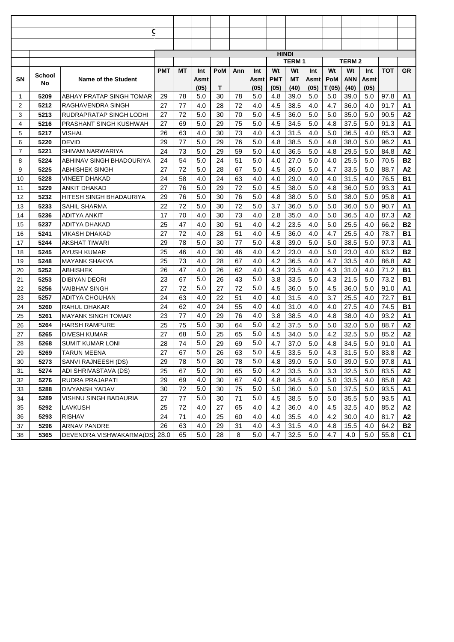|                |              | $\overline{\mathsf{c}}$    |            |    |      |     |     |      |              |              |      |            |              |      |      |           |
|----------------|--------------|----------------------------|------------|----|------|-----|-----|------|--------------|--------------|------|------------|--------------|------|------|-----------|
|                |              |                            |            |    |      |     |     |      |              |              |      |            |              |      |      |           |
|                |              |                            |            |    |      |     |     |      | <b>HINDI</b> |              |      |            |              |      |      |           |
|                |              |                            |            |    |      |     |     |      |              | <b>TERM1</b> |      |            | <b>TERM2</b> |      |      |           |
|                |              |                            | <b>PMT</b> | МT | Int  | PoM | Ann | Int  | Wt           | Wt           | Int  | Wt         | Wt           | Int  | ТОТ  | <b>GR</b> |
| SΝ             | School<br>No | <b>Name of the Student</b> |            |    | Asmt |     |     | Asmt | <b>PMT</b>   | МT           | Asmt | <b>PoM</b> | ANN          | Asmt |      |           |
|                |              |                            |            |    | (05) | Т   |     | (05) | (05)         | (40)         | (05) | T (05)     | (40)         | (05) |      |           |
| -1             | 5209         | ABHAY PRATAP SINGH TOMAR   | 29         | 78 | 5.0  | 30  | 78  | 5.0  | 4.8          | 39.0         | 5.0  | 5.0        | 39.0         | 5.0  | 97.8 | Α1        |
| 2              | 5212         | RAGHAVENDRA SINGH          | 27         | 77 | 4.0  | 28  | 72  | 4.0  | 4.5          | 38.5         | 4.0  | 4.7        | 36.0         | 4.0  | 91.7 | A1        |
| 3              | 5213         | RUDRAPRATAP SINGH LODHI    | 27         | 72 | 5.0  | 30  | 70  | 5.0  | 4.5          | 36.0         | 5.0  | 5.0        | 35.0         | 5.0  | 90.5 | A2        |
| 4              | 5216         | PRASHANT SINGH KUSHWAH     | 27         | 69 | 5.0  | 29  | 75  | 5.0  | 4.5          | 34.5         | 5.0  | 4.8        | 37.5         | 5.0  | 91.3 | A1        |
| 5              | 5217         | VISHAL                     | 26         | 63 | 4.0  | 30  | 73  | 4.0  | 4.3          | 31.5         | 4.0  | 5.0        | 36.5         | 4.0  | 85.3 | Α2        |
| 6              | 5220         | <b>DEVID</b>               | 29         | 77 | 5.0  | 29  | 76  | 5.0  | 4.8          | 38.5         | 5.0  | 4.8        | 38.0         | 5.0  | 96.2 | A1        |
| $\overline{7}$ | 5221         | SHIVAM NARWARIYA           | 24         | 73 | 5.0  | 29  | 59  | 5.0  | 4.0          | 36.5         | 5.0  | 4.8        | 29.5         | 5.0  | 84.8 | Α2        |
| 8              | 5224         | ABHINAV SINGH BHADOURIYA   | 24         | 54 | 5.0  | 24  | 51  | 5.0  | 4.0          | 27.0         | 5.0  | 4.0        | 25.5         | 5.0  | 70.5 | <b>B2</b> |
| 9              | 5225         | ABHISHEK SINGH             | 27         | 72 | 5.0  | 28  | 67  | 5.0  | 4.5          | 36.0         | 5.0  | 4.7        | 33.5         | 5.0  | 88.7 | A2        |
| 10             | 5228         | VINEET DHAKAD              | 24         | 58 | 4.0  | 24  | 63  | 4.0  | 4.0          | 29.0         | 4.0  | 4.0        | 31.5         | 4.0  | 76.5 | <b>B1</b> |
| 11             | 5229         | ANKIT DHAKAD               | 27         | 76 | 5.0  | 29  | 72  | 5.0  | 4.5          | 38.0         | 5.0  | 4.8        | 36.0         | 5.0  | 93.3 | A1        |
| 12             | 5232         | HITESH SINGH BHADAURIYA    | 29         | 76 | 5.0  | 30  | 76  | 5.0  | 4.8          | 38.0         | 5.0  | 5.0        | 38.0         | 5.0  | 95.8 | A1        |
| 13             | 5233         | SAHIL SHARMA               | 22         | 72 | 5.0  | 30  | 72  | 5.0  | 3.7          | 36.0         | 5.0  | 5.0        | 36.0         | 5.0  | 90.7 | A1        |
| 14             | 5236         | ADITYA ANKIT               | 17         | 70 | 4.0  | 30  | 73  | 4.0  | 2.8          | 35.0         | 4.0  | 5.0        | 36.5         | 4.0  | 87.3 | A2        |
| 15             | 5237         | ADITYA DHAKAD              | 25         | 47 | 4.0  | 30  | 51  | 4.0  | 4.2          | 23.5         | 4.0  | 5.0        | 25.5         | 4.0  | 66.2 | <b>B2</b> |
| 16             | 5241         | VIKASH DHAKAD              | 27         | 72 | 4.0  | 28  | 51  | 4.0  | 4.5          | 36.0         | 4.0  | 4.7        | 25.5         | 4.0  | 78.7 | <b>B1</b> |
| 17             | 5244         | AKSHAT TIWARI              | 29         | 78 | 5.0  | 30  | 77  | 5.0  | 4.8          | 39.0         | 5.0  | 5.0        | 38.5         | 5.0  | 97.3 | A1        |
| 18             | 5245         | AYUSH KUMAR                | 25         | 46 | 4.0  | 30  | 46  | 4.0  | 4.2          | 23.0         | 4.0  | 5.0        | 23.0         | 4.0  | 63.2 | <b>B2</b> |
| 19             | 5248         | <b>MAYANK SHAKYA</b>       | 25         | 73 | 4.0  | 28  | 67  | 4.0  | 4.2          | 36.5         | 4.0  | 4.7        | 33.5         | 4.0  | 86.8 | А2        |
| 20             | 5252         | ABHISHEK                   | 26         | 47 | 4.0  | 26  | 62  | 4.0  | 4.3          | 23.5         | 4.0  | 4.3        | 31.0         | 4.0  | 71.2 | <b>B1</b> |
| 21             | 5253         | DIBIYAN DEORI              | 23         | 67 | 5.0  | 26  | 43  | 5.0  | 3.8          | 33.5         | 5.0  | 4.3        | 21.5         | 5.0  | 73.2 | <b>B1</b> |
| 22             | 5256         | VAIBHAV SINGH              | 27         | 72 | 5.0  | 27  | 72  | 5.0  | 4.5          | 36.0         | 5.0  | 4.5        | 36.0         | 5.0  | 91.0 | A1        |
| 23             | 5257         | ADITYA CHOUHAN             | 24         | 63 | 4.0  | 22  | 51  | 4.0  | 4.0          | 31.5         | 4.0  | 3.7        | 25.5         | 4.0  | 72.7 | <b>B1</b> |
| 24             | 5260         | RAHUL DHAKAR               | 24         | 62 | 4.0  | 24  | 55  | 4.0  | 4.0          | 31.0         | 4.0  | 4.0        | 27.5         | 4.0  | 74.5 | <b>B1</b> |
| 25             | 5261         | MAYANK SINGH TOMAR         | 23         | 77 | 4.0  | 29  | 76  | 4.0  | 3.8          | 38.5         | 4.0  | 4.8        | 38.0         | 4.0  | 93.2 | A1        |
| 26             | 5264         | <b>HARSH RAMPURE</b>       | 25         | 75 | 5.0  | 30  | 64  | 5.0  | 4.2          | 37.5         | 5.0  | 5.0        | 32.0         | 5.0  | 88.7 | A2        |
| 27             | 5265         | DIVESH KUMAR               | 27         | 68 | 5.0  | 25  | 65  | 5.0  | 4.5          | 34.0         | 5.0  | 4.2        | 32.5         | 5.0  | 85.2 | A2        |
| 28             | 5268         | <b>SUMIT KUMAR LONI</b>    | 28         | 74 | 5.0  | 29  | 69  | 5.0  | 4.7          | 37.0         | 5.0  | 4.8        | 34.5         | 5.0  | 91.0 | Α1        |
| 29             | 5269         | <b>TARUN MEENA</b>         | 27         | 67 | 5.0  | 26  | 63  | 5.0  | 4.5          | 33.5         | 5.0  | 4.3        | 31.5         | 5.0  | 83.8 | A2        |
| 30             | 5273         | SANVI RAJNEESH (DS)        | 29         | 78 | 5.0  | 30  | 78  | 5.0  | 4.8          | 39.0         | 5.0  | 5.0        | 39.0         | 5.0  | 97.8 | A1        |
| 31             | 5274         | ADI SHRIVASTAVA (DS)       | 25         | 67 | 5.0  | 20  | 65  | 5.0  | 4.2          | 33.5         | 5.0  | 3.3        | 32.5         | 5.0  | 83.5 | A2        |
| 32             | 5276         | RUDRA PRAJAPATI            | 29         | 69 | 4.0  | 30  | 67  | 4.0  | 4.8          | 34.5         | 4.0  | 5.0        | 33.5         | 4.0  | 85.8 | А2        |
| 33             | 5288         | DIVYANSH YADAV             | 30         | 72 | 5.0  | 30  | 75  | 5.0  | 5.0          | 36.0         | 5.0  | 5.0        | 37.5         | 5.0  | 93.5 | А1        |
| 34             | 5289         | VISHNU SINGH BADAURIA      | 27         | 77 | 5.0  | 30  | 71  | 5.0  | 4.5          | 38.5         | 5.0  | 5.0        | 35.5         | 5.0  | 93.5 | А1        |
| 35             | 5292         | LAVKUSH                    | 25         | 72 | 4.0  | 27  | 65  | 4.0  | 4.2          | 36.0         | 4.0  | 4.5        | 32.5         | 4.0  | 85.2 | А2        |
| 36             | 5293         | <b>RISHAV</b>              | 24         | 71 | 4.0  | 25  | 60  | 4.0  | 4.0          | 35.5         | 4.0  | 4.2        | 30.0         | 4.0  | 81.7 | А2        |
| 37             | 5296         | ARNAV PANDRE               | 26         | 63 | 4.0  | 29  | 31  | 4.0  | 4.3          | 31.5         | 4.0  | 4.8        | 15.5         | 4.0  | 64.2 | B2        |
| 38             | 5365         | DEVENDRA VISHWAKARMA(DS)   | 28.0       | 65 | 5.0  | 28  | 8   | 5.0  | 4.7          | 32.5         | 5.0  | 4.7        | 4.0          | 5.0  | 55.8 | C1        |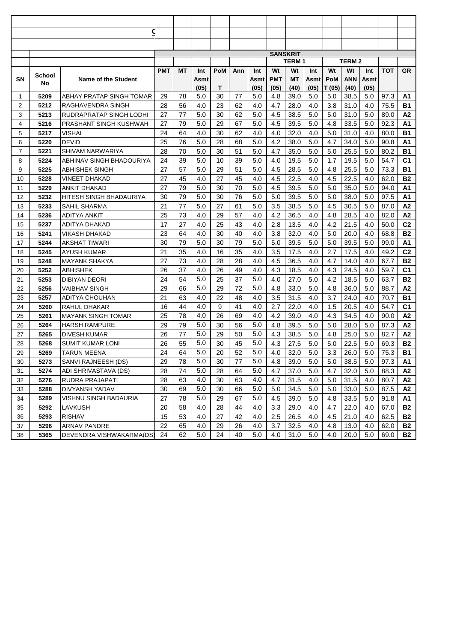|          |              | <u>c</u>                                    |            |          |            |            |          |            |                 |              |            |            |              |            |              |                |
|----------|--------------|---------------------------------------------|------------|----------|------------|------------|----------|------------|-----------------|--------------|------------|------------|--------------|------------|--------------|----------------|
|          |              |                                             |            |          |            |            |          |            |                 |              |            |            |              |            |              |                |
|          |              |                                             |            |          |            |            |          |            |                 |              |            |            |              |            |              |                |
|          |              |                                             |            |          |            |            |          |            | <b>SANSKRIT</b> | <b>TERM1</b> |            |            | <b>TERM2</b> |            |              |                |
|          |              |                                             | <b>PMT</b> | МT       | Int        | <b>PoM</b> | Ann      | Int        | Wt              | Wt           | Int        | Wt         | Wt           | Int        | ТОТ          | <b>GR</b>      |
| SΝ       | School       | <b>Name of the Student</b>                  |            |          | Asmt       |            |          | Asmt       | <b>PMT</b>      | MT           | Asmt       | <b>PoM</b> | <b>ANN</b>   | Asmt       |              |                |
|          | No           |                                             |            |          | (05)       | Т          |          | (05)       | (05)            | (40)         | (05)       | T (05)     | (40)         | (05)       |              |                |
| 1        | 5209         | ABHAY PRATAP SINGH TOMAR                    | 29         | 78       | 5.0        | 30         | 77       | 5.0        | 4.8             | 39.0         | 5.0        | 5.0        | 38.5         | 5.0        | 97.3         | Α1             |
| 2        | 5212         | RAGHAVENDRA SINGH                           | 28         | 56       | 4.0        | 23         | 62       | 4.0        | 4.7             | 28.0         | 4.0        | 3.8        | 31.0         | 4.0        | 75.5         | B1             |
| 3        | 5213         | RUDRAPRATAP SINGH LODHI                     | 27         | 77       | 5.0        | 30         | 62       | 5.0        | 4.5             | 38.5         | 5.0        | 5.0        | 31.0         | 5.0        | 89.0         | А2             |
| 4        | 5216         | PRASHANT SINGH KUSHWAH                      | 27         | 79       | 5.0        | 29         | 67       | 5.0        | 4.5             | 39.5         | 5.0        | 4.8        | 33.5         | 5.0        | 92.3         | A1             |
| 5        | 5217         | VISHAL                                      | 24         | 64       | 4.0        | 30         | 62       | 4.0        | 4.0             | 32.0         | 4.0        | 5.0        | 31.0         | 4.0        | 80.0         | <b>B1</b>      |
| 6        | 5220         | <b>DEVID</b>                                | 25         | 76       | 5.0        | 28         | 68       | 5.0        | 4.2             | 38.0         | 5.0        | 4.7        | 34.0         | 5.0        | 90.8         | A1             |
| 7        | 5221         | SHIVAM NARWARIYA                            | 28         | 70       | 5.0        | 30         | 51       | 5.0        | 4.7             | 35.0         | 5.0        | 5.0        | 25.5         | 5.0        | 80.2         | <b>B1</b>      |
| 8        | 5224         | ABHINAV SINGH BHADOURIYA                    | 24         | 39       | 5.0        | 10         | 39       | 5.0        | 4.0             | 19.5         | 5.0        | 1.7        | 19.5         | 5.0        | 54.7         | C <sub>1</sub> |
| 9        | 5225         | ABHISHEK SINGH                              | 27         | 57       | 5.0        | 29         | 51       | 5.0        | 4.5             | 28.5         | 5.0        | 4.8        | 25.5         | 5.0        | 73.3         | <b>B1</b>      |
| 10       | 5228         | VINEET DHAKAD                               | 27         | 45       | 4.0        | 27         | 45       | 4.0        | 4.5             | 22.5         | 4.0        | 4.5        | 22.5         | 4.0        | 62.0         | <b>B2</b>      |
| 11       | 5229         | <b>ANKIT DHAKAD</b>                         | 27         | 79       | 5.0        | 30         | 70       | 5.0        | 4.5             | 39.5         | 5.0        | 5.0        | 35.0         | 5.0        | 94.0         | A1             |
| 12       | 5232         | HITESH SINGH BHADAURIYA                     | 30         | 79       | 5.0        | 30         | 76       | 5.0        | 5.0             | 39.5         | 5.0        | 5.0        | 38.0         | 5.0        | 97.5         | A1             |
| 13       | 5233         | SAHIL SHARMA                                | 21         | 77       | 5.0        | 27         | 61       | 5.0        | 3.5             | 38.5         | 5.0        | 4.5        | 30.5         | 5.0        | 87.0         | A2             |
| 14       | 5236         | ADITYA ANKIT                                | 25         | 73       | 4.0        | 29         | 57       | 4.0        | 4.2             | 36.5         | 4.0        | 4.8        | 28.5         | 4.0        | 82.0         | A2             |
| 15       | 5237         | ADITYA DHAKAD                               | 17         | 27       | 4.0        | 25         | 43       | 4.0        | 2.8             | 13.5         | 4.0        | 4.2        | 21.5         | 4.0        | 50.0         | C <sub>2</sub> |
| 16       | 5241         | VIKASH DHAKAD                               | 23         | 64       | 4.0        | 30         | 40       | 4.0        | 3.8             | 32.0         | 4.0        | 5.0        | 20.0         | 4.0        | 68.8         | <b>B2</b>      |
| 17       | 5244         | AKSHAT TIWARI                               | 30         | 79       | 5.0        | 30         | 79       | 5.0        | 5.0             | 39.5         | 5.0        | 5.0        | 39.5         | 5.0        | 99.0         | Α1             |
| 18       | 5245         | AYUSH KUMAR                                 | 21         | 35       | 4.0        | 16         | 35       | 4.0        | 3.5             | 17.5         | 4.0        | 2.7        | 17.5         | 4.0        | 49.2         | C <sub>2</sub> |
| 19       | 5248         | <b>MAYANK SHAKYA</b>                        | 27         | 73       | 4.0        | 28         | 28       | 4.0        | 4.5             | 36.5         | 4.0        | 4.7        | 14.0         | 4.0        | 67.7         | <b>B2</b>      |
| 20       | 5252         | ABHISHEK                                    | 26         | 37       | 4.0        | 26         | 49       | 4.0        | 4.3             | 18.5         | 4.0        | 4.3        | 24.5         | 4.0        | 59.7         | C <sub>1</sub> |
| 21       | 5253         | DIBIYAN DEORI                               | 24         | 54       | 5.0        | 25         | 37       | 5.0        | 4.0             | 27.0         | 5.0        | 4.2        | 18.5         | 5.0        | 63.7         | <b>B2</b>      |
| 22       | 5256         | <b>VAIBHAV SINGH</b>                        | 29         | 66       | 5.0        | 29         | 72       | 5.0        | 4.8             | 33.0         | 5.0        | 4.8        | 36.0         | 5.0        | 88.7         | A2             |
| 23       | 5257         | ADITYA CHOUHAN                              | 21         | 63       | 4.0        | 22         | 48       | 4.0        | 3.5             | 31.5         | 4.0        | 3.7        | 24.0         | 4.0        | 70.7         | <b>B1</b>      |
| 24       | 5260         | RAHUL DHAKAR                                | 16         | 44       | 4.0        | 9          | 41       | 4.0        | 2.7             | 22.0         | 4.0        | 1.5        | 20.5         | 4.0        | 54.7         | C <sub>1</sub> |
| 25       | 5261         | <b>MAYANK SINGH TOMAR</b>                   | 25         | 78       | 4.0        | 26         | 69       | 4.0        | 4.2             | 39.0         | 4.0        | 4.3        | 34.5         | 4.0        | 90.0         | A2             |
| 26       | 5264         | <b>HARSH RAMPURE</b>                        | 29         | 79       | 5.0        | 30         | 56       | 5.0        | 4.8             | 39.5         | 5.0        | 5.0        | 28.0         | 5.0        | 87.3         | A2             |
| 27       | 5265         | <b>DIVESH KUMAR</b>                         | 26         | 77       | 5.0<br>5.0 | 29         | 50       | 5.0        | 4.3             | 38.5         | 5.0        | 4.8        | 25.0         | 5.0        | 82.7         | A2             |
| 28       | 5268         | <b>SUMIT KUMAR LONI</b>                     | 26         | 55       | 5.0        | 30         | 45       | 5.0<br>5.0 | 4.3             | 27.5         | 5.0        | 5.0        | 22.5         | 5.0        | 69.3         | <b>B2</b>      |
| 29       | 5269         | <b>TARUN MEENA</b>                          | 24         | 64       | 5.0        | 20         | 52       | 5.0        | 4.0             | 32.0         | 5.0        | 3.3        | 26.0         | 5.0        | 75.3         | B1             |
| 30       | 5273<br>5274 | SANVI RAJNEESH (DS)<br>ADI SHRIVASTAVA (DS) | 29         | 78<br>74 | 5.0        | 30         | 77<br>64 | 5.0        | 4.8<br>4.7      | 39.0         | 5.0        | $5.0$      | 38.5         | 5.0        | 97.3         | А1             |
| 31       | 5276         | RUDRA PRAJAPATI                             | 28         |          | 4.0        | 28<br>30   |          | 4.0        | 4.7             | 37.0         | 5.0        | 4.7        | 32.0         | 5.0        | 88.3         | А2             |
| 32<br>33 | 5288         | DIVYANSH YADAV                              | 28<br>30   | 63<br>69 | 5.0        | 30         | 63<br>66 | 5.0        | 5.0             | 31.5<br>34.5 | 4.0<br>5.0 | 5.0<br>5.0 | 31.5<br>33.0 | 4.0<br>5.0 | 80.7<br>87.5 | А2<br>А2       |
| 34       | 5289         | VISHNU SINGH BADAURIA                       | 27         | 78       | 5.0        | 29         | 67       | 5.0        | 4.5             | 39.0         | 5.0        | 4.8        | 33.5         | 5.0        | 91.8         | А1             |
| 35       | 5292         | LAVKUSH                                     | 20         | 58       | 4.0        | 28         | 44       | 4.0        | 3.3             | 29.0         | 4.0        | 4.7        | 22.0         | 4.0        | 67.0         | B2             |
| 36       | 5293         | <b>RISHAV</b>                               | 15         | 53       | 4.0        | 27         | 42       | 4.0        | 2.5             | 26.5         | 4.0        | 4.5        | 21.0         | 4.0        | 62.5         | B2             |
| 37       | 5296         | <b>ARNAV PANDRE</b>                         | 22         | 65       | 4.0        | 29         | 26       | 4.0        | 3.7             | 32.5         | 4.0        | 4.8        | 13.0         | 4.0        | 62.0         | B2             |
| 38       | 5365         | DEVENDRA VISHWAKARMA(DS)                    | 24         | 62       | 5.0        | 24         | 40       | 5.0        | 4.0             | 31.0         | 5.0        | 4.0        | 20.0         | 5.0        | 69.0         | <b>B2</b>      |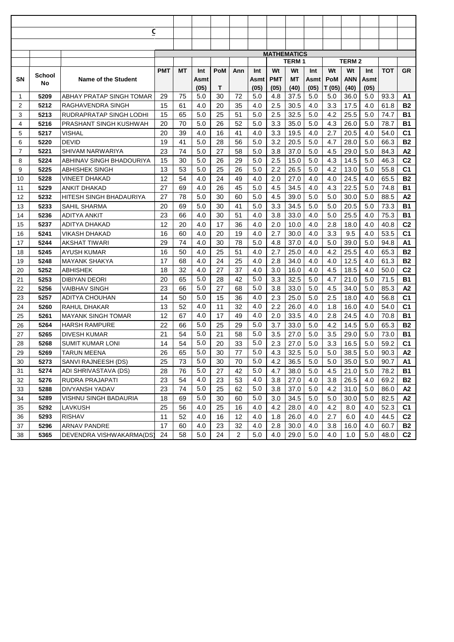|                |              | $\overline{\mathsf{c}}$      |            |          |            |          |          |            |                    |              |            |            |              |            |              |                 |
|----------------|--------------|------------------------------|------------|----------|------------|----------|----------|------------|--------------------|--------------|------------|------------|--------------|------------|--------------|-----------------|
|                |              |                              |            |          |            |          |          |            |                    |              |            |            |              |            |              |                 |
|                |              |                              |            |          |            |          |          |            | <b>MATHEMATICS</b> |              |            |            |              |            |              |                 |
|                |              |                              |            |          |            |          |          |            |                    | <b>TERM1</b> |            |            | <b>TERM2</b> |            |              |                 |
|                |              |                              | <b>PMT</b> | МT       | Int        | PoM      | Ann      | Int        | Wt                 | Wt           | Int        | Wt         | Wt           | Int        | ТОТ          | <b>GR</b>       |
| SΝ             | School<br>No | <b>Name of the Student</b>   |            |          | Asmt       |          |          | Asmt       | <b>PMT</b>         | МT           | Asmt       | <b>PoM</b> | ANN          | Asmt       |              |                 |
|                |              |                              |            |          | (05)       | Т        |          | (05)       | (05)               | (40)         | (05)       | T (05)     | (40)         | (05)       |              |                 |
| -1             | 5209         | ABHAY PRATAP SINGH TOMAR     | 29         | 75       | 5.0        | 30       | 72       | 5.0        | 4.8                | 37.5         | 5.0        | 5.0        | 36.0         | 5.0        | 93.3         | Α1              |
| 2              | 5212         | RAGHAVENDRA SINGH            | 15         | 61       | 4.0        | 20       | 35       | 4.0        | 2.5                | 30.5         | 4.0        | 3.3        | 17.5         | 4.0        | 61.8         | <b>B2</b>       |
| 3              | 5213         | RUDRAPRATAP SINGH LODHI      | 15         | 65       | 5.0        | 25       | 51       | 5.0        | 2.5                | 32.5         | 5.0        | 4.2        | 25.5         | 5.0        | 74.7         | <b>B1</b>       |
| 4              | 5216         | PRASHANT SINGH KUSHWAH       | 20         | 70       | 5.0        | 26       | 52       | 5.0        | 3.3                | 35.0         | 5.0        | 4.3        | 26.0         | 5.0        | 78.7         | <b>B1</b>       |
| 5              | 5217         | VISHAL                       | 20         | 39       | 4.0        | 16       | 41       | 4.0        | 3.3                | 19.5         | 4.0        | 2.7        | 20.5         | 4.0        | 54.0         | C1              |
| 6              | 5220         | <b>DEVID</b>                 | 19         | 41       | 5.0        | 28       | 56       | 5.0        | 3.2                | 20.5         | 5.0        | 4.7        | 28.0         | 5.0        | 66.3         | <b>B2</b>       |
| $\overline{7}$ | 5221         | SHIVAM NARWARIYA             | 23         | 74       | 5.0        | 27       | 58       | 5.0        | 3.8                | 37.0         | 5.0        | 4.5        | 29.0         | 5.0        | 84.3         | Α2              |
| 8              | 5224         | ABHINAV SINGH BHADOURIYA     | 15         | 30       | 5.0        | 26       | 29       | 5.0        | 2.5                | 15.0         | 5.0        | 4.3        | 14.5         | 5.0        | 46.3         | C <sub>2</sub>  |
| 9              | 5225         | ABHISHEK SINGH               | 13         | 53       | 5.0        | 25       | 26       | 5.0        | 2.2                | 26.5         | 5.0        | 4.2        | 13.0         | 5.0        | 55.8         | C <sub>1</sub>  |
| 10             | 5228         | VINEET DHAKAD                | 12         | 54       | 4.0        | 24       | 49       | 4.0        | 2.0                | 27.0         | 4.0        | 4.0        | 24.5         | 4.0        | 65.5         | <b>B2</b>       |
| 11             | 5229         | ANKIT DHAKAD                 | 27         | 69       | 4.0        | 26       | 45       | 5.0        | 4.5                | 34.5         | 4.0        | 4.3        | 22.5         | 5.0        | 74.8         | <b>B1</b>       |
| 12             | 5232         | HITESH SINGH BHADAURIYA      | 27         | 78       | 5.0        | 30       | 60       | 5.0        | 4.5                | 39.0         | 5.0        | 5.0        | 30.0         | 5.0        | 88.5         | A2              |
| 13             | 5233         | SAHIL SHARMA                 | 20         | 69       | 5.0        | 30       | 41       | 5.0        | 3.3                | 34.5         | 5.0        | 5.0        | 20.5         | 5.0        | 73.3         | <b>B1</b>       |
| 14             | 5236         | ADITYA ANKIT                 | 23         | 66       | 4.0        | 30       | 51       | 4.0        | 3.8                | 33.0         | 4.0        | 5.0        | 25.5         | 4.0        | 75.3         | B1              |
| 15             | 5237         | ADITYA DHAKAD                | 12         | 20       | 4.0        | 17       | 36       | 4.0        | 2.0                | 10.0         | 4.0        | 2.8        | 18.0         | 4.0        | 40.8         | C <sub>2</sub>  |
| 16             | 5241         | VIKASH DHAKAD                | 16<br>29   | 60<br>74 | 4.0        | 20<br>30 | 19<br>78 | 4.0        | 2.7                | 30.0         | 4.0        | 3.3        | 9.5          | 4.0<br>5.0 | 53.5         | C <sub>1</sub>  |
| 17<br>18       | 5244<br>5245 | AKSHAT TIWARI<br>AYUSH KUMAR | 16         |          | 4.0<br>4.0 | 25       | 51       | 5.0        | 4.8<br>2.7         | 37.0         | 4.0<br>4.0 | 5.0<br>4.2 | 39.0         |            | 94.8         | A1<br><b>B2</b> |
| 19             | 5248         | <b>MAYANK SHAKYA</b>         | 17         | 50<br>68 | 4.0        | 24       | 25       | 4.0<br>4.0 | 2.8                | 25.0<br>34.0 | 4.0        | 4.0        | 25.5<br>12.5 | 4.0<br>4.0 | 65.3<br>61.3 | <b>B2</b>       |
| 20             | 5252         | ABHISHEK                     | 18         | 32       | 4.0        | 27       | 37       | 4.0        | 3.0                | 16.0         | 4.0        | 4.5        | 18.5         | 4.0        | 50.0         | C <sub>2</sub>  |
| 21             | 5253         | DIBIYAN DEORI                | 20         | 65       | 5.0        | 28       | 42       | 5.0        | 3.3                | 32.5         | 5.0        | 4.7        | 21.0         | 5.0        | 71.5         | <b>B1</b>       |
| 22             | 5256         | VAIBHAV SINGH                | 23         | 66       | 5.0        | 27       | 68       | 5.0        | 3.8                | 33.0         | 5.0        | 4.5        | 34.0         | 5.0        | 85.3         | Α2              |
| 23             | 5257         | ADITYA CHOUHAN               | 14         | 50       | 5.0        | 15       | 36       | 4.0        | 2.3                | 25.0         | 5.0        | 2.5        | 18.0         | 4.0        | 56.8         | C <sub>1</sub>  |
| 24             | 5260         | RAHUL DHAKAR                 | 13         | 52       | 4.0        | 11       | 32       | 4.0        | 2.2                | 26.0         | 4.0        | 1.8        | 16.0         | 4.0        | 54.0         | C <sub>1</sub>  |
| 25             | 5261         | <b>MAYANK SINGH TOMAR</b>    | 12         | 67       | 4.0        | 17       | 49       | 4.0        | 2.0                | 33.5         | 4.0        | 2.8        | 24.5         | 4.0        | 70.8         | <b>B1</b>       |
| 26             | 5264         | <b>HARSH RAMPURE</b>         | 22         | 66       | 5.0        | 25       | 29       | 5.0        | 3.7                | 33.0         | 5.0        | 4.2        | 14.5         | 5.0        | 65.3         | <b>B2</b>       |
| 27             | 5265         | DIVESH KUMAR                 | 21         | 54       | 5.0        | 21       | 58       | 5.0        | 3.5                | 27.0         | 5.0        | 3.5        | 29.0         | 5.0        | 73.0         | B1              |
| 28             | 5268         | <b>SUMIT KUMAR LONI</b>      | 14         | 54       | 5.0        | 20       | 33       | 5.0        | 2.3                | 27.0         | 5.0        | 3.3        | 16.5         | 5.0        | 59.2         | C <sub>1</sub>  |
| 29             | 5269         | <b>TARUN MEENA</b>           | 26         | 65       | 5.0        | 30       | 77       | 5.0        | 4.3                | 32.5         | 5.0        | 5.0        | 38.5         | 5.0        | 90.3         | A2              |
| 30             | 5273         | SANVI RAJNEESH (DS)          | 25         | 73       | 5.0        | 30       | 70       | 5.0        | 4.2                | 36.5         | 5.0        | 5.0        | 35.0         | 5.0        | 90.7         | А1              |
| 31             | 5274         | ADI SHRIVASTAVA (DS)         | 28         | 76       | 5.0        | 27       | 42       | 5.0        | 4.7                | 38.0         | 5.0        | 4.5        | 21.0         | 5.0        | 78.2         | B1              |
| 32             | 5276         | RUDRA PRAJAPATI              | 23         | 54       | 4.0        | 23       | 53       | 4.0        | 3.8                | 27.0         | 4.0        | 3.8        | 26.5         | 4.0        | 69.2         | <b>B2</b>       |
| 33             | 5288         | DIVYANSH YADAV               | 23         | 74       | 5.0        | 25       | 62       | 5.0        | 3.8                | 37.0         | 5.0        | 4.2        | 31.0         | 5.0        | 86.0         | А2              |
| 34             | 5289         | VISHNU SINGH BADAURIA        | 18         | 69       | 5.0        | 30       | 60       | 5.0        | 3.0                | 34.5         | 5.0        | 5.0        | 30.0         | 5.0        | 82.5         | А2              |
| 35             | 5292         | LAVKUSH                      | 25         | 56       | 4.0        | 25       | 16       | 4.0        | 4.2                | 28.0         | 4.0        | 4.2        | 8.0          | 4.0        | 52.3         | C1              |
| 36             | 5293         | <b>RISHAV</b>                | 11         | 52       | 4.0        | 16       | 12       | 4.0        | 1.8                | 26.0         | 4.0        | 2.7        | 6.0          | 4.0        | 44.5         | C <sub>2</sub>  |
| 37             | 5296         | <b>ARNAV PANDRE</b>          | 17         | 60       | 4.0        | 23       | 32       | 4.0        | 2.8                | 30.0         | 4.0        | 3.8        | 16.0         | 4.0        | 60.7         | B2              |
| 38             | 5365         | DEVENDRA VISHWAKARMA(DS)     | 24         | 58       | 5.0        | 24       | 2        | 5.0        | 4.0                | 29.0         | 5.0        | 4.0        | 1.0          | 5.0        | 48.0         | C <sub>2</sub>  |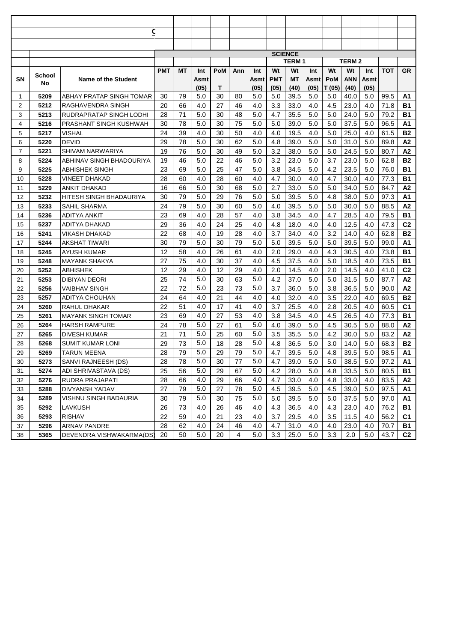|                                    | <u>c</u>                                    |            |          |            |            |          |            |                |              |            |            |              |            |              |                |
|------------------------------------|---------------------------------------------|------------|----------|------------|------------|----------|------------|----------------|--------------|------------|------------|--------------|------------|--------------|----------------|
|                                    |                                             |            |          |            |            |          |            |                |              |            |            |              |            |              |                |
|                                    |                                             |            |          |            |            |          |            |                |              |            |            |              |            |              |                |
|                                    |                                             |            |          |            |            |          |            | <b>SCIENCE</b> | <b>TERM1</b> |            |            | <b>TERM2</b> |            |              |                |
|                                    |                                             | <b>PMT</b> | МT       | Int        | <b>PoM</b> | Ann      | Int        | Wt             | Wt           | Int        | Wt         | Wt           | Int        | ТОТ          | <b>GR</b>      |
| School<br>SΝ                       | <b>Name of the Student</b>                  |            |          | Asmt       |            |          | Asmt       | <b>PMT</b>     | MT           | Asmt       | <b>PoM</b> | <b>ANN</b>   | Asmt       |              |                |
| No                                 |                                             |            |          | (05)       | Т          |          | (05)       | (05)           | (40)         | (05)       | T (05)     | (40)         | (05)       |              |                |
| 1<br>5209                          | ABHAY PRATAP SINGH TOMAR                    | 30         | 79       | 5.0        | 30         | 80       | 5.0        | 5.0            | 39.5         | 5.0        | 5.0        | 40.0         | 5.0        | 99.5         | Α1             |
| 2<br>5212                          | RAGHAVENDRA SINGH                           | 20         | 66       | 4.0        | 27         | 46       | 4.0        | 3.3            | 33.0         | 4.0        | 4.5        | 23.0         | 4.0        | 71.8         | B1             |
| 3<br>5213                          | RUDRAPRATAP SINGH LODHI                     | 28         | 71       | 5.0        | 30         | 48       | 5.0        | 4.7            | 35.5         | 5.0        | 5.0        | 24.0         | 5.0        | 79.2         | B1             |
| 4<br>5216                          | PRASHANT SINGH KUSHWAH                      | 30         | 78       | 5.0        | 30         | 75       | 5.0        | 5.0            | 39.0         | 5.0        | 5.0        | 37.5         | 5.0        | 96.5         | A1             |
| 5<br>5217<br>VISHAL                |                                             | 24         | 39       | 4.0        | 30         | 50       | 4.0        | 4.0            | 19.5         | 4.0        | 5.0        | 25.0         | 4.0        | 61.5         | <b>B2</b>      |
| 5220<br><b>DEVID</b><br>6          |                                             | 29         | 78       | 5.0        | 30         | 62       | 5.0        | 4.8            | 39.0         | 5.0        | 5.0        | 31.0         | 5.0        | 89.8         | A2             |
| 7<br>5221                          | SHIVAM NARWARIYA                            | 19         | 76       | 5.0        | 30         | 49       | 5.0        | 3.2            | 38.0         | 5.0        | 5.0        | 24.5         | 5.0        | 80.7         | A2             |
| 5224<br>8                          | ABHINAV SINGH BHADOURIYA                    | 19         | 46       | 5.0        | 22         | 46       | 5.0        | 3.2            | 23.0         | 5.0        | 3.7        | 23.0         | 5.0        | 62.8         | <b>B2</b>      |
| 9<br>5225<br>ABHISHEK SINGH        |                                             | 23         | 69       | 5.0        | 25         | 47       | 5.0        | 3.8            | 34.5         | 5.0        | 4.2        | 23.5         | 5.0        | 76.0         | B1             |
| 5228<br>10<br>VINEET DHAKAD        |                                             | 28         | 60       | 4.0        | 28         | 60       | 4.0        | 4.7            | 30.0         | 4.0        | 4.7        | 30.0         | 4.0        | 77.3         | В1             |
| 5229<br>11<br>ANKIT DHAKAD         |                                             | 16         | 66       | 5.0        | 30         | 68       | 5.0        | 2.7            | 33.0         | 5.0        | 5.0        | 34.0         | 5.0        | 84.7         | A2             |
| 12<br>5232                         | HITESH SINGH BHADAURIYA                     | 30         | 79       | 5.0        | 29         | 76       | 5.0        | 5.0            | 39.5         | 5.0        | 4.8        | 38.0         | 5.0        | 97.3         | A1             |
| 5233<br>13<br>SAHIL SHARMA         |                                             | 24         | 79       | 5.0        | 30         | 60       | 5.0        | 4.0            | 39.5         | 5.0        | 5.0        | 30.0         | 5.0        | 88.5         | A2             |
| 14<br>5236<br>ADITYA ANKIT         |                                             | 23         | 69       | 4.0        | 28         | 57       | 4.0        | 3.8            | 34.5         | 4.0        | 4.7        | 28.5         | 4.0        | 79.5         | В1             |
| 5237<br>15<br>ADITYA DHAKAD        |                                             | 29         | 36       | 4.0        | 24         | 25       | 4.0        | 4.8            | 18.0         | 4.0        | 4.0        | 12.5         | 4.0        | 47.3         | C <sub>2</sub> |
| 16<br>5241<br>VIKASH DHAKAD        |                                             | 22         | 68       | 4.0        | 19         | 28       | 4.0        | 3.7            | 34.0         | 4.0        | 3.2        | 14.0         | 4.0        | 62.8         | <b>B2</b>      |
| <b>AKSHAT TIWARI</b><br>17<br>5244 |                                             | 30         | 79       | 5.0        | 30         | 79       | 5.0        | 5.0            | 39.5         | 5.0        | 5.0        | 39.5         | 5.0        | 99.0         | Α1             |
| 18<br>5245<br>AYUSH KUMAR          |                                             | 12         | 58       | 4.0        | 26         | 61       | 4.0        | 2.0            | 29.0         | 4.0        | 4.3        | 30.5         | 4.0        | 73.8         | B1             |
| <b>MAYANK SHAKYA</b><br>19<br>5248 |                                             | 27         | 75       | 4.0        | 30         | 37       | 4.0        | 4.5            | 37.5         | 4.0        | 5.0        | 18.5         | 4.0        | 73.5         | В1             |
| 20<br>5252<br>ABHISHEK             |                                             | 12         | 29       | 4.0        | 12         | 29       | 4.0        | 2.0            | 14.5         | 4.0        | 2.0        | 14.5         | 4.0        | 41.0         | C <sub>2</sub> |
| 21<br>5253<br>DIBIYAN DEORI        |                                             | 25         | 74       | 5.0        | 30         | 63       | 5.0        | 4.2            | 37.0         | 5.0        | 5.0        | 31.5         | 5.0        | 87.7         | A2             |
| 22<br>5256<br>VAIBHAV SINGH        |                                             | 22         | 72       | 5.0        | 23         | 73       | 5.0        | 3.7            | 36.0         | 5.0        | 3.8        | 36.5         | 5.0        | 90.0         | A2             |
| 23<br>5257                         | ADITYA CHOUHAN                              | 24         | 64       | 4.0        | 21         | 44       | 4.0        | 4.0            | 32.0         | 4.0        | 3.5        | 22.0         | 4.0        | 69.5         | <b>B2</b>      |
| 5260<br>RAHUL DHAKAR<br>24         |                                             | 22         | 51       | 4.0        | 17         | 41       | 4.0        | 3.7            | 25.5         | 4.0        | 2.8        | 20.5         | 4.0        | 60.5         | C <sub>1</sub> |
| 25<br>5261                         | <b>MAYANK SINGH TOMAR</b>                   | 23         | 69       | 4.0        | 27         | 53       | 4.0        | 3.8            | 34.5         | 4.0        | 4.5        | 26.5         | 4.0        | 77.3         | <b>B1</b>      |
| 5264<br><b>HARSH RAMPURE</b><br>26 |                                             | 24         | 78       | 5.0        | 27         | 61       | 5.0        | 4.0            | 39.0         | 5.0        | 4.5        | 30.5         | 5.0        | 88.0         | A2             |
| <b>DIVESH KUMAR</b><br>27<br>5265  |                                             | 21         | 71       | 5.0        | 25         | 60       | 5.0        | 3.5            | 35.5         | 5.0        | 4.2        | 30.0         | 5.0        | 83.2         | A2             |
| 5268<br>28<br>5269                 | <b>SUMIT KUMAR LONI</b>                     | 29         | 73       | 5.0<br>5.0 | 18         | 28       | 5.0<br>5.0 | 4.8<br>4.7     | 36.5         | 5.0        | 3.0        | 14.0         | 5.0        | 68.3         | <b>B2</b>      |
| <b>TARUN MEENA</b><br>29           |                                             | 28         | 79       | 5.0        | 29         | 79       | 5.0        |                | 39.5         | 5.0        | 4.8        | 39.5         | 5.0        | 98.5         | А1             |
| 5273<br>30<br>5274                 | SANVI RAJNEESH (DS)<br>ADI SHRIVASTAVA (DS) | 28<br>25   | 78       | 5.0        | 30<br>29   | 77       | 5.0        | 4.7<br>4.2     | 39.0         | 5.0        | 5.0        | 38.5         | 5.0        | 97.2         | А1             |
| 31<br>5276                         | RUDRA PRAJAPATI                             |            | 56       | 4.0        | 29         | 67       | 4.0        | 4.7            | 28.0         | 5.0        | 4.8        | 33.5         | 5.0        | 80.5         | B1             |
| 32<br>5288<br>DIVYANSH YADAV<br>33 |                                             | 28<br>27   | 66<br>79 | 5.0        | 27         | 66<br>78 | 5.0        | 4.5            | 33.0<br>39.5 | 4.0<br>5.0 | 4.8<br>4.5 | 33.0<br>39.0 | 4.0<br>5.0 | 83.5<br>97.5 | A2<br>А1       |
| 5289<br>34                         | VISHNU SINGH BADAURIA                       | 30         | 79       | 5.0        | 30         | 75       | 5.0        | 5.0            | 39.5         | 5.0        | 5.0        | 37.5         | 5.0        | 97.0         | А1             |
| 5292<br>35<br>LAVKUSH              |                                             | 26         | 73       | 4.0        | 26         | 46       | 4.0        | 4.3            | 36.5         | 4.0        | 4.3        | 23.0         | 4.0        | 76.2         | <b>B1</b>      |
| 5293<br><b>RISHAV</b><br>36        |                                             | 22         | 59       | 4.0        | 21         | 23       | 4.0        | 3.7            | 29.5         | 4.0        | 3.5        | 11.5         | 4.0        | 56.2         | C1             |
| 5296<br><b>ARNAV PANDRE</b><br>37  |                                             | 28         | 62       | 4.0        | 24         | 46       | 4.0        | 4.7            | 31.0         | 4.0        | 4.0        | 23.0         | 4.0        | 70.7         | B1             |
| 5365<br>38                         | DEVENDRA VISHWAKARMA(DS)                    | 20         | 50       | 5.0        | 20         | 4        | 5.0        | 3.3            | 25.0         | 5.0        | 3.3        | 2.0          | 5.0        | 43.7         | C2             |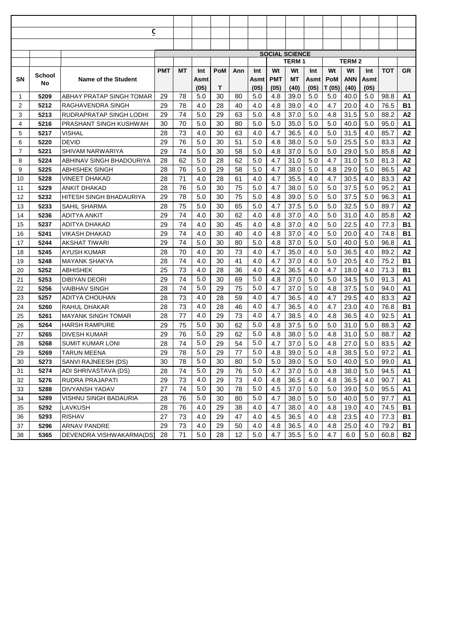|          |              | <u>c</u>                          |            |          |            |            |          |            |                       |              |            |            |              |            |              |                 |
|----------|--------------|-----------------------------------|------------|----------|------------|------------|----------|------------|-----------------------|--------------|------------|------------|--------------|------------|--------------|-----------------|
|          |              |                                   |            |          |            |            |          |            |                       |              |            |            |              |            |              |                 |
|          |              |                                   |            |          |            |            |          |            |                       |              |            |            |              |            |              |                 |
|          |              |                                   |            |          |            |            |          |            | <b>SOCIAL SCIENCE</b> | <b>TERM1</b> |            |            | <b>TERM2</b> |            |              |                 |
|          |              |                                   | <b>PMT</b> | МT       | Int        | <b>PoM</b> | Ann      | Int        | Wt                    | Wt           | Int        | Wt         | Wt           | Int        | ТОТ          | <b>GR</b>       |
| SΝ       | School       | <b>Name of the Student</b>        |            |          | Asmt       |            |          | Asmt       | <b>PMT</b>            | <b>MT</b>    | Asmt       | <b>PoM</b> | <b>ANN</b>   | Asmt       |              |                 |
|          | No           |                                   |            |          | (05)       | Т          |          | (05)       | (05)                  | (40)         | (05)       | T (05)     | (40)         | (05)       |              |                 |
| 1        | 5209         | ABHAY PRATAP SINGH TOMAR          | 29         | 78       | 5.0        | 30         | 80       | 5.0        | 4.8                   | 39.0         | 5.0        | 5.0        | 40.0         | 5.0        | 98.8         | Α1              |
| 2        | 5212         | RAGHAVENDRA SINGH                 | 29         | 78       | 4.0        | 28         | 40       | 4.0        | 4.8                   | 39.0         | 4.0        | 4.7        | 20.0         | 4.0        | 76.5         | B1              |
| 3        | 5213         | RUDRAPRATAP SINGH LODHI           | 29         | 74       | 5.0        | 29         | 63       | 5.0        | 4.8                   | 37.0         | 5.0        | 4.8        | 31.5         | 5.0        | 88.2         | Α2              |
| 4        | 5216         | PRASHANT SINGH KUSHWAH            | 30         | 70       | 5.0        | 30         | 80       | 5.0        | 5.0                   | 35.0         | 5.0        | 5.0        | 40.0         | 5.0        | 95.0         | A1              |
| 5        | 5217         | VISHAL                            | 28         | 73       | 4.0        | 30         | 63       | 4.0        | 4.7                   | 36.5         | 4.0        | 5.0        | 31.5         | 4.0        | 85.7         | A2              |
| 6        | 5220         | <b>DEVID</b>                      | 29         | 76       | 5.0        | 30         | 51       | 5.0        | 4.8                   | 38.0         | 5.0        | 5.0        | 25.5         | 5.0        | 83.3         | A2              |
| 7        | 5221         | SHIVAM NARWARIYA                  | 29         | 74       | 5.0        | 30         | 58       | 5.0        | 4.8                   | 37.0         | 5.0        | 5.0        | 29.0         | 5.0        | 85.8         | A2              |
| 8        | 5224         | ABHINAV SINGH BHADOURIYA          | 28         | 62       | 5.0        | 28         | 62       | 5.0        | 4.7                   | 31.0         | 5.0        | 4.7        | 31.0         | 5.0        | 81.3         | A2              |
| 9        | 5225         | ABHISHEK SINGH                    | 28         | 76       | 5.0        | 29         | 58       | 5.0        | 4.7                   | 38.0         | 5.0        | 4.8        | 29.0         | 5.0        | 86.5         | A2              |
| 10       | 5228         | VINEET DHAKAD                     | 28         | 71       | 4.0        | 28         | 61       | 4.0        | 4.7                   | 35.5         | 4.0        | 4.7        | 30.5         | 4.0        | 83.3         | A2              |
| 11       | 5229         | <b>ANKIT DHAKAD</b>               | 28         | 76       | 5.0        | 30         | 75       | 5.0        | 4.7                   | 38.0         | 5.0        | 5.0        | 37.5         | 5.0        | 95.2         | A1              |
| 12       | 5232         | HITESH SINGH BHADAURIYA           | 29         | 78       | 5.0        | 30         | 75       | 5.0        | 4.8                   | 39.0         | 5.0        | 5.0        | 37.5         | 5.0        | 96.3         | A1              |
| 13       | 5233         | <b>SAHIL SHARMA</b>               | 28         | 75       | 5.0        | 30         | 65       | 5.0        | 4.7                   | 37.5         | 5.0        | 5.0        | 32.5         | 5.0        | 89.7         | A2              |
| 14       | 5236         | ADITYA ANKIT                      | 29         | 74       | 4.0        | 30         | 62       | 4.0        | 4.8                   | 37.0         | 4.0        | 5.0        | 31.0         | 4.0        | 85.8         | A2              |
| 15       | 5237         | ADITYA DHAKAD                     | 29         | 74       | 4.0        | 30         | 45       | 4.0        | 4.8                   | 37.0         | 4.0        | 5.0        | 22.5         | 4.0        | 77.3         | <b>B1</b>       |
| 16       | 5241         | VIKASH DHAKAD                     | 29         | 74       | 4.0        | 30         | 40       | 4.0        | 4.8                   | 37.0         | 4.0        | 5.0        | 20.0         | 4.0        | 74.8         | B1              |
| 17       | 5244         | <b>AKSHAT TIWARI</b>              | 29         | 74       | 5.0        | 30         | 80       | 5.0        | 4.8                   | 37.0         | 5.0        | 5.0        | 40.0         | 5.0        | 96.8         | A1              |
| 18       | 5245         | AYUSH KUMAR                       | 28         | 70       | 4.0        | 30         | 73       | 4.0        | 4.7                   | 35.0         | 4.0        | 5.0        | 36.5         | 4.0        | 89.2         | A2              |
| 19       | 5248         | <b>MAYANK SHAKYA</b>              | 28         | 74       | 4.0        | 30         | 41       | 4.0        | 4.7                   | 37.0         | 4.0        | 5.0        | 20.5         | 4.0        | 75.2         | <b>B1</b>       |
| 20       | 5252         | ABHISHEK                          | 25         | 73       | 4.0        | 28         | 36       | 4.0        | 4.2                   | 36.5         | 4.0        | 4.7        | 18.0         | 4.0        | 71.3         | <b>B1</b>       |
| 21       | 5253         | DIBIYAN DEORI                     | 29         | 74       | 5.0        | 30         | 69       | 5.0        | 4.8                   | 37.0         | 5.0        | 5.0        | 34.5         | 5.0        | 91.3         | A1              |
| 22       | 5256         | <b>VAIBHAV SINGH</b>              | 28         | 74       | 5.0        | 29         | 75       | 5.0        | 4.7                   | 37.0         | 5.0        | 4.8        | 37.5         | 5.0        | 94.0         | A1              |
| 23       | 5257         | ADITYA CHOUHAN                    | 28         | 73       | 4.0        | 28         | 59       | 4.0        | 4.7                   | 36.5         | 4.0        | 4.7        | 29.5         | 4.0        | 83.3         | A2              |
| 24       | 5260         | RAHUL DHAKAR                      | 28         | 73       | 4.0        | 28         | 46       | 4.0        | 4.7                   | 36.5         | 4.0        | 4.7        | 23.0         | 4.0        | 76.8         | <b>B1</b>       |
| 25       | 5261         | <b>MAYANK SINGH TOMAR</b>         | 28         | 77       | 4.0        | 29         | 73       | 4.0        | 4.7                   | 38.5         | 4.0        | 4.8        | 36.5         | 4.0        | 92.5         | A1              |
| 26       | 5264         | <b>HARSH RAMPURE</b>              | 29         | 75       | 5.0        | 30         | 62       | 5.0        | 4.8                   | 37.5         | 5.0        | 5.0        | 31.0         | 5.0        | 88.3         | A2              |
| 27       | 5265         | <b>DIVESH KUMAR</b>               | 29         | 76       | 5.0        | 29         | 62       | 5.0        | 4.8                   | 38.0         | 5.0        | 4.8        | 31.0         | 5.0        | 88.7         | A2              |
| 28       | 5268         | <b>SUMIT KUMAR LONI</b>           | 28         | 74       | 5.0<br>5.0 | 29         | 54       | 5.0<br>5.0 | 4.7                   | 37.0         | 5.0        | 4.8        | 27.0         | 5.0        | 83.5         | A2              |
| 29       | 5269         | <b>TARUN MEENA</b>                | 29         | 78       |            | 29         | $77$     |            | 4.8                   | 39.0         | 5.0        | 4.8        | 38.5         | 5.0        | 97.2         | A1              |
| 30       | 5273         | SANVI RAJNEESH (DS)               | 30         | 78       | 5.0        | 30         | 80       | 5.0        | 5.0                   | 39.0         | 5.0        | 5.0        | 40.0         | 5.0        | 99.0         | А1              |
| 31       | 5274         | ADI SHRIVASTAVA (DS)              | 28         | 74       | 5.0        | 29         | 76       | 5.0        | 4.7                   | 37.0         | 5.0        | 4.8        | 38.0         | 5.0        | 94.5         | А1              |
| 32       | 5276<br>5288 | RUDRA PRAJAPATI<br>DIVYANSH YADAV | 29<br>27   | 73       | 4.0<br>5.0 | 29<br>30   | 73<br>78 | 4.0<br>5.0 | 4.8                   | 36.5         | 4.0        | 4.8        | 36.5         | 4.0        | 90.7         | А1              |
| 33       | 5289         | VISHNU SINGH BADAURIA             |            | 74       | 5.0        | 30         |          | 5.0        | 4.5                   | 37.0         | 5.0        | 5.0        | 39.0<br>40.0 | 5.0        | 95.5         | А1              |
| 34<br>35 | 5292         | LAVKUSH                           | 28<br>28   | 76<br>76 | 4.0        | 29         | 80<br>38 | 4.0        | 4.7<br>4.7            | 38.0<br>38.0 | 5.0<br>4.0 | 5.0<br>4.8 | 19.0         | 5.0<br>4.0 | 97.7<br>74.5 | А1<br><b>B1</b> |
|          | 5293         | <b>RISHAV</b>                     | 27         | 73       | 4.0        | 29         | 47       | 4.0        | 4.5                   | 36.5         | 4.0        | 4.8        | 23.5         | 4.0        | 77.3         | <b>B1</b>       |
| 36       | 5296         | <b>ARNAV PANDRE</b>               | 29         | 73       | 4.0        | 29         | 50       | 4.0        | 4.8                   | 36.5         | 4.0        | 4.8        | 25.0         | 4.0        | 79.2         | B1              |
| 37       | 5365         | DEVENDRA VISHWAKARMA(DS)          |            |          |            |            |          |            |                       |              |            |            |              |            |              |                 |
| 38       |              |                                   | 28         | 71       | 5.0        | 28         | 12       | 5.0        | 4.7                   | 35.5         | 5.0        | 4.7        | 6.0          | 5.0        | 60.8         | <b>B2</b>       |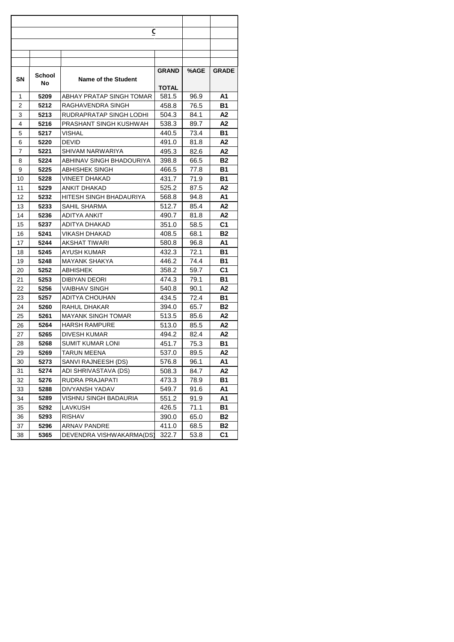|    |        | C                          |              |      |                |
|----|--------|----------------------------|--------------|------|----------------|
|    |        |                            |              |      |                |
|    |        |                            |              |      |                |
|    |        |                            |              |      |                |
|    |        |                            | <b>GRAND</b> | %AGE | <b>GRADE</b>   |
| SN | School | <b>Name of the Student</b> |              |      |                |
|    | No     |                            | TOTAL        |      |                |
| 1  | 5209   | ABHAY PRATAP SINGH TOMAR   | 581.5        | 96.9 | Α1             |
| 2  | 5212   | RAGHAVENDRA SINGH          | 458.8        | 76.5 | В1             |
| 3  | 5213   | RUDRAPRATAP SINGH LODHI    | 504.3        | 84.1 | Α2             |
| 4  | 5216   | PRASHANT SINGH KUSHWAH     | 538.3        | 89.7 | Α2             |
| 5  | 5217   | VISHAL                     | 440.5        | 73.4 | В1             |
| 6  | 5220   | <b>DEVID</b>               | 491.0        | 81.8 | Α2             |
| 7  | 5221   | SHIVAM NARWARIYA           | 495.3        | 82.6 | Α2             |
| 8  | 5224   | ABHINAV SINGH BHADOURIYA   | 398.8        | 66.5 | B2             |
| 9  | 5225   | <b>ABHISHEK SINGH</b>      | 466.5        | 77.8 | В1             |
| 10 | 5228   | VINEET DHAKAD              | 431.7        | 71.9 | В1             |
| 11 | 5229   | ANKIT DHAKAD               | 525.2        | 87.5 | Α2             |
| 12 | 5232   | HITESH SINGH BHADAURIYA    | 568.8        | 94.8 | Α1             |
| 13 | 5233   | SAHIL SHARMA               | 512.7        | 85.4 | Α2             |
| 14 | 5236   | ADITYA ANKIT               | 490.7        | 81.8 | Α2             |
| 15 | 5237   | ADITYA DHAKAD              | 351.0        | 58.5 | C1             |
| 16 | 5241   | VIKASH DHAKAD              | 408.5        | 68.1 | Β2             |
| 17 | 5244   | AKSHAT TIWARI              | 580.8        | 96.8 | Α1             |
| 18 | 5245   | AYUSH KUMAR                | 432.3        | 72.1 | В1             |
| 19 | 5248   | MAYANK SHAKYA              | 446.2        | 74.4 | В1             |
| 20 | 5252   | ABHISHEK                   | 358.2        | 59.7 | C1             |
| 21 | 5253   | DIBIYAN DEORI              | 474.3        | 79.1 | В1             |
| 22 | 5256   | VAIBHAV SINGH              | 540.8        | 90.1 | Α2             |
| 23 | 5257   | ADITYA CHOUHAN             | 434.5        | 72.4 | В1             |
| 24 | 5260   | RAHUL DHAKAR               | 394.0        | 65.7 | В2             |
| 25 | 5261   | MAYANK SINGH TOMAR         | 513.5        | 85.6 | Α2             |
| 26 | 5264   | <b>HARSH RAMPURE</b>       | 513.0        | 85.5 | Α2             |
| 27 | 5265   | DIVESH KUMAR               | 494.2        | 82.4 | А2             |
| 28 | 5268   | SUMIT KUMAR LONI           | 451.7        | 75.3 | В1             |
| 29 | 5269   | TARUN MEENA                | 537.0        | 89.5 | Α2             |
| 30 | 5273   | SANVI RAJNEESH (DS)        | 576.8        | 96.1 | Α1             |
| 31 | 5274   | ADI SHRIVASTAVA (DS)       | 508.3        | 84.7 | A2             |
| 32 | 5276   | RUDRA PRAJAPATI            | 473.3        | 78.9 | В1             |
| 33 | 5288   | DIVYANSH YADAV             | 549.7        | 91.6 | Α1             |
| 34 | 5289   | VISHNU SINGH BADAURIA      | 551.2        | 91.9 | Α1             |
| 35 | 5292   | LAVKUSH                    | 426.5        | 71.1 | В1             |
| 36 | 5293   | RISHAV                     | 390.0        | 65.0 | B2             |
| 37 | 5296   | ARNAV PANDRE               | 411.0        | 68.5 | B2             |
| 38 | 5365   | DEVENDRA VISHWAKARMA(DS)   | 322.7        | 53.8 | C <sub>1</sub> |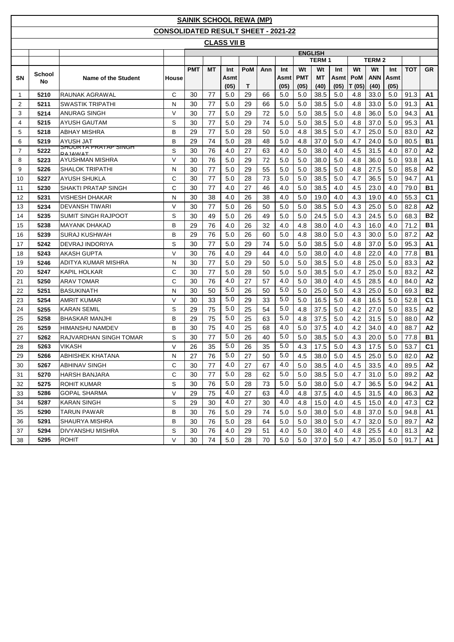|                |        |                                               |                                            |            |           | <b>SAINIK SCHOOL REWA (MP)</b> |            |     |              |                    |                   |              |                     |                    |                     |            |                |
|----------------|--------|-----------------------------------------------|--------------------------------------------|------------|-----------|--------------------------------|------------|-----|--------------|--------------------|-------------------|--------------|---------------------|--------------------|---------------------|------------|----------------|
|                |        |                                               | <b>CONSOLIDATED RESULT SHEET - 2021-22</b> |            |           |                                |            |     |              |                    |                   |              |                     |                    |                     |            |                |
|                |        |                                               |                                            |            |           | <b>CLASS VII B</b>             |            |     |              |                    |                   |              |                     |                    |                     |            |                |
|                |        |                                               |                                            |            |           |                                |            |     |              |                    | <b>ENGLISH</b>    |              |                     |                    |                     |            |                |
|                |        |                                               |                                            |            |           |                                |            |     |              |                    | <b>TERM1</b>      |              |                     | <b>TERM2</b>       |                     |            |                |
|                | School |                                               |                                            | <b>PMT</b> | <b>MT</b> | Int                            | <b>PoM</b> | Ann | Int          | Wt                 | Wt                | Int          | Wt                  | Wt                 | Int                 | <b>TOT</b> | GR.            |
| SN             | No     | Name of the Student                           | House                                      |            |           | Asmt<br>(05)                   | Т          |     | Asmt<br>(05) | <b>PMT</b><br>(05) | <b>MT</b><br>(40) | Asmt<br>(05) | <b>PoM</b><br>T(05) | <b>ANN</b><br>(40) | <b>Asmt</b><br>(05) |            |                |
| $\mathbf{1}$   | 5210   | RAUNAK AGRAWAL                                | C                                          | 30         | 77        | 5.0                            | 29         | 66  | 5.0          | 5.0                | 38.5              | 5.0          | 4.8                 | 33.0               | 5.0                 | 91.3       | A1             |
| 2              | 5211   | SWASTIK TRIPATHI                              | N                                          | 30         | 77        | 5.0                            | 29         | 66  | 5.0          | 5.0                | 38.5              | 5.0          | 4.8                 | 33.0               | 5.0                 | 91.3       | A1             |
| 3              | 5214   | <b>ANURAG SINGH</b>                           | $\vee$                                     | 30         | 77        | 5.0                            | 29         | 72  | 5.0          | 5.0                | 38.5              | 5.0          | 4.8                 | 36.0               | 5.0                 | 94.3       | A1             |
| 4              | 5215   | <b>AYUSH GAUTAM</b>                           | S                                          | 30         | 77        | 5.0                            | 29         | 74  | 5.0          | 5.0                | 38.5              | 5.0          | 4.8                 | 37.0               | 5.0                 | 95.3       | A1             |
| 5              | 5218   | ABHAY MISHRA                                  | B                                          | 29         | 77        | 5.0                            | 28         | 50  | 5.0          | 4.8                | 38.5              | 5.0          | 4.7                 | 25.0               | 5.0                 | 83.0       | A2             |
| 6              | 5219   | <b>AYUSH JAT</b>                              | B                                          | 29         | 74        | 5.0                            | 28         | 48  | 5.0          | 4.8                | 37.0              | 5.0          | 4.7                 | 24.0               | 5.0                 | 80.5       | <b>B1</b>      |
| $\overline{7}$ | 5222   | SHUURTA PRATAP SINGH<br><b><i>RAIAMAT</i></b> | S                                          | 30         | 76        | 4.0                            | 27         | 63  | 4.0          | 5.0                | 38.0              | 4.0          | 4.5                 | 31.5               | 4.0                 | 87.0       | A2             |
| 8              | 5223   | AYUSHMAN MISHRA                               | $\vee$                                     | 30         | 76        | 5.0                            | 29         | 72  | 5.0          | 5.0                | 38.0              | 5.0          | 4.8                 | 36.0               | 5.0                 | 93.8       | A1             |
| 9              | 5226   | SHALOK TRIPATHI                               | N                                          | 30         | 77        | 5.0                            | 29         | 55  | 5.0          | 5.0                | 38.5              | 5.0          | 4.8                 | 27.5               | 5.0                 | 85.8       | A2             |
| 10             | 5227   | AYUSH SHUKLA                                  | C                                          | 30         | 77        | 5.0                            | 28         | 73  | 5.0          | 5.0                | 38.5              | 5.0          | 4.7                 | 36.5               | 5.0                 | 94.7       | A1             |
| 11             | 5230   | SHAKTI PRATAP SINGH                           | $\mathsf{C}$                               | 30         | 77        | 4.0                            | 27         | 46  | 4.0          | 5.0                | 38.5              | 4.0          | 4.5                 | 23.0               | 4.0                 | 79.0       | <b>B1</b>      |
| 12             | 5231   | VISHESH DHAKAR                                | N                                          | 30         | 38        | 4.0                            | 26         | 38  | 4.0          | 5.0                | 19.0              | 4.0          | 4.3                 | 19.0               | 4.0                 | 55.3       | C <sub>1</sub> |
| 13             | 5234   | <b>DEVANSH TIWARI</b>                         | $\vee$                                     | 30         | 77        | 5.0                            | 26         | 50  | 5.0          | 5.0                | 38.5              | 5.0          | 4.3                 | 25.0               | 5.0                 | 82.8       | A2             |
| 14             | 5235   | <b>SUMIT SINGH RAJPOOT</b>                    | S                                          | 30         | 49        | 5.0                            | 26         | 49  | 5.0          | 5.0                | 24.5              | 5.0          | 4.3                 | 24.5               | 5.0                 | 68.3       | <b>B2</b>      |
| 15             | 5238   | <b>MAYANK DHAKAD</b>                          | B                                          | 29         | 76        | 4.0                            | 26         | 32  | 4.0          | 4.8                | 38.0              | 4.0          | 4.3                 | 16.0               | 4.0                 | 71.2       | <b>B1</b>      |
| 16             | 5239   | <b>SURAJ KUSHWAH</b>                          | В                                          | 29         | 76        | 5.0                            | 26         | 60  | 5.0          | 4.8                | 38.0              | 5.0          | 4.3                 | 30.0               | 5.0                 | 87.2       | A2             |
| 17             | 5242   | DEVRAJ INDORIYA                               | S                                          | 30         | 77        | 5.0                            | 29         | 74  | 5.0          | 5.0                | 38.5              | 5.0          | 4.8                 | 37.0               | 5.0                 | 95.3       | А1             |
| 18             | 5243   | AKASH GUPTA                                   | V                                          | 30         | 76        | 4.0                            | 29         | 44  | 4.0          | 5.0                | 38.0              | 4.0          | 4.8                 | 22.0               | 4.0                 | 77.8       | <b>B1</b>      |
| 19             | 5246   | ADITYA KUMAR MISHRA                           | N                                          | 30         | 77        | 5.0                            | 29         | 50  | 5.0          | 5.0                | 38.5              | 5.0          | 4.8                 | 25.0               | 5.0                 | 83.3       | A2             |
| 20             | 5247   | <b>KAPIL HOLKAR</b>                           | С                                          | 30         | 77        | 5.0                            | 28         | 50  | 5.0          | 5.0                | 38.5              | 5.0          | 4.7                 | 25.0               | 5.0                 | 83.2       | A2             |
| 21             | 5250   | <b>ARAV TOMAR</b>                             | C                                          | 30         | 76        | 4.0                            | 27         | 57  | 4.0          | 5.0                | 38.0              | 4.0          | 4.5                 | 28.5               | 4.0                 | 84.0       | A2             |
| 22             | 5251   | <b>BASUKINATH</b>                             | Ν                                          | 30         | 50        | 5.0                            | 26         | 50  | 5.0          | 5.0                | 25.0              | 5.0          | 4.3                 | 25.0               | 5.0                 | 69.3       | <b>B2</b>      |
| 23             | 5254   | AMRIT KUMAR                                   | $\vee$                                     | 30         | 33        | 5.0                            | 29         | 33  | 5.0          | 5.0                | 16.5              | 5.0          | 4.8                 | 16.5               | 5.0                 | 52.8       | C <sub>1</sub> |
| 24             | 5255   | <b>KARAN SEMIL</b>                            | S                                          | 29         | 75        | 5.0                            | 25         | 54  | 5.0          | 4.8                | 37.5              | 5.0          | 4.2                 | 27.0               | 5.0                 | 83.5       | A2             |
| 25             | 5258   | <b>BHASKAR MANJHI</b>                         | B                                          | 29         | 75        | 5.0                            | 25         | 63  | 5.0          | 4.8                | 37.5              | 5.0          | 4.2                 | 31.5               | 5.0                 | 88.0       | A2             |
| 26             | 5259   | <b>HIMANSHU NAMDEV</b>                        | B                                          | 30         | 75        | 4.0                            | 25         | 68  | 4.0          | 5.0                | 37.5              | 4.0          | 4.2                 | 34.0               | 4.0                 | 88.7       | A2             |
| 27             | 5262   | RAJVARDHAN SINGH TOMAR                        | S                                          | 30         | 77        | 5.0                            | 26         | 40  | 5.0          | 5.0                | 38.5              | 5.0          | 4.3                 | 20.0               | 5.0                 | 77.8       | <b>B1</b>      |
| 28             | 5263   | <b>VIKASH</b>                                 | $\vee$                                     | 26         | 35        | 5.0                            | 26         | 35  | 5.0          | 4.3                | 17.5              | 5.0          | 4.3                 | 17.5               | 5.0                 | 53.7       | C <sub>1</sub> |
| 29             | 5266   | <b>ABHISHEK KHATANA</b>                       | ${\sf N}$                                  | 27         | 76        | 5.0                            | 27         | 50  | 5.0          | 4.5                | 38.0              | 5.0          | 4.5                 | 25.0               | 5.0                 | 82.0       | <b>A2</b>      |
| 30             | 5267   | <b>ABHINAV SINGH</b>                          | $\mathsf{C}$                               | 30         | 77        | 4.0                            | 27         | 67  | 4.0          | 5.0                | 38.5              | 4.0          | 4.5                 | 33.5               | 4.0                 | 89.5       | A2             |
| 31             | 5270   | <b>HARSH BANJARA</b>                          | С                                          | 30         | 77        | 5.0                            | 28         | 62  | 5.0          | 5.0                | 38.5              | 5.0          | 4.7                 | 31.0               | 5.0                 | 89.2       | A2             |
| 32             | 5275   | <b>ROHIT KUMAR</b>                            | S                                          | 30         | 76        | 5.0                            | 28         | 73  | 5.0          | 5.0                | 38.0              | 5.0          | 4.7                 | 36.5               | 5.0                 | 94.2       | A1             |
| 33             | 5286   | <b>GOPAL SHARMA</b>                           | $\mathsf{V}$                               | 29         | 75        | 4.0                            | 27         | 63  | 4.0          | 4.8                | 37.5              | 4.0          | 4.5                 | 31.5               | 4.0                 | 86.3       | A2             |
| 34             | 5287   | KARAN SINGH                                   | S                                          | 29         | 30        | 4.0                            | 27         | 30  | 4.0          | 4.8                | 15.0              | 4.0          | 4.5                 | 15.0               | 4.0                 | 47.3       | C <sub>2</sub> |
| 35             | 5290   | TARUN PAWAR                                   | В                                          | 30         | 76        | 5.0                            | 29         | 74  | 5.0          | 5.0                | 38.0              | 5.0          | 4.8                 | 37.0               | 5.0                 | 94.8       | A1             |
| 36             | 5291   | SHAURYA MISHRA                                | В                                          | 30         | 76        | 5.0                            | 28         | 64  | 5.0          | 5.0                | 38.0              | 5.0          | 4.7                 | 32.0               | 5.0                 | 89.7       | A2             |
| 37             | 5294   | <b>DIVYANSHU MISHRA</b>                       | S                                          | 30         | 76        | 4.0                            | 29         | 51  | 4.0          | 5.0                | 38.0              | 4.0          | 4.8                 | 25.5               | 4.0                 | 81.3       | A2             |
| 38             | 5295   | <b>ROHIT</b>                                  | V                                          | 30         | 74        | 5.0                            | 28         | 70  | 5.0          | 5.0                | 37.0              | 5.0          | 4.7                 | 35.0               | 5.0                 | 91.7       | <b>A1</b>      |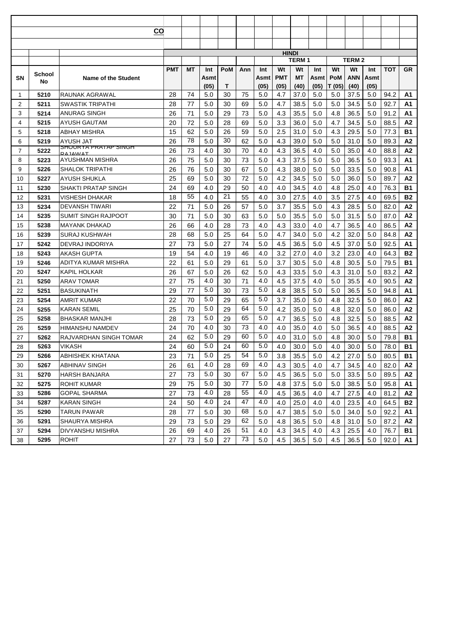|                |              |                                              | CO         |               |            |            |          |            |            |              |            |            |              |            |              |                |
|----------------|--------------|----------------------------------------------|------------|---------------|------------|------------|----------|------------|------------|--------------|------------|------------|--------------|------------|--------------|----------------|
|                |              |                                              |            |               |            |            |          |            |            |              |            |            |              |            |              |                |
|                |              |                                              |            |               |            |            |          |            |            | <b>HINDI</b> |            |            |              |            |              |                |
|                |              |                                              |            |               |            |            |          |            |            | TERM 1       |            |            | <b>TERM2</b> |            |              |                |
|                | School       |                                              | <b>PMT</b> | МT            | Int        | <b>PoM</b> | Ann      | Int        | Wt         | Wt           | Int        | Wt         | Wt           | Int        | <b>TOT</b>   | <b>GR</b>      |
| SN             | No           | <b>Name of the Student</b>                   |            |               | Asmt       |            |          | Asmt       | <b>PMT</b> | МT           | Asmt       | PoM        | ANN          | Asmt       |              |                |
|                |              |                                              |            |               | (05)       | Т          |          | (05)       | (05)       | (40)         | (05)       | T (05)     | (40)         | (05)       |              |                |
| 1              | 5210         | RAUNAK AGRAWAL                               | 28         | 74            | 5.0        | 30         | 75       | 5.0        | 4.7        | 37.0         | 5.0        | 5.0        | 37.5         | 5.0        | 94.2         | A1             |
| $\overline{2}$ | 5211         | SWASTIK TRIPATHI                             | 28         | 77            | 5.0        | 30         | 69       | 5.0        | 4.7        | 38.5         | 5.0        | 5.0        | 34.5         | 5.0        | 92.7         | A1             |
| 3              | 5214         | ANURAG SINGH                                 | 26         | 71            | 5.0        | 29         | 73       | 5.0        | 4.3        | 35.5         | 5.0        | 4.8        | 36.5         | 5.0        | 91.2         | A1             |
| 4              | 5215         | AYUSH GAUTAM                                 | 20         | 72            | 5.0        | 28         | 69       | 5.0        | 3.3        | 36.0         | 5.0        | 4.7        | 34.5         | 5.0        | 88.5         | A <sub>2</sub> |
| 5              | 5218         | ABHAY MISHRA                                 | 15         | 62<br>78      | 5.0        | 26<br>30   | 59       | 5.0        | 2.5        | 31.0         | 5.0        | 4.3        | 29.5         | 5.0        | 77.3         | <b>B1</b>      |
| 6              | 5219         | AYUSH JAT<br><u>SHUURTA PRATAP SINGH</u>     | 26         |               | 5.0        |            | 62       | 5.0        | 4.3        | 39.0         | 5.0        | 5.0        | 31.0         | 5.0        | 89.3         | A2             |
| $\overline{7}$ | 5222         | RΔ ΙΔΜΙΔΤ                                    | 26         | 73            | 4.0        | 30         | 70       | 4.0        | 4.3        | 36.5         | 4.0        | 5.0        | 35.0         | 4.0        | 88.8         | A2             |
| 8              | 5223         | AYUSHMAN MISHRA                              | 26         | 75            | 5.0        | 30         | 73       | 5.0        | 4.3        | 37.5         | 5.0        | 5.0        | 36.5         | 5.0        | 93.3         | Α1             |
| 9              | 5226         | SHALOK TRIPATHI                              | 26         | 76            | 5.0        | 30         | 67       | 5.0        | 4.3        | 38.0         | 5.0        | 5.0        | 33.5         | 5.0        | 90.8         | A1             |
| 10             | 5227         | AYUSH SHUKLA                                 | 25         | 69            | 5.0        | 30         | 72       | 5.0        | 4.2        | 34.5         | 5.0        | 5.0        | 36.0         | 5.0        | 89.7         | A2             |
| 11             | 5230         | SHAKTI PRATAP SINGH                          | 24         | 69<br>55      | 4.0        | 29<br>21   | 50       | 4.0        | 4.0        | 34.5         | 4.0        | 4.8        | 25.0         | 4.0        | 76.3         | B1             |
| 12             | 5231         | VISHESH DHAKAR                               | 18<br>22   |               | 4.0        |            | 55<br>57 | 4.0        | 3.0<br>3.7 | 27.5         | 4.0        | 3.5        | 27.5         | 4.0        | 69.5         | <b>B2</b>      |
| 13             | 5234         | <b>DEVANSH TIWARI</b><br>SUMIT SINGH RAJPOOT | 30         | 71<br>71      | 5.0        | 26         |          | 5.0        | 5.0        | 35.5<br>35.5 | 5.0        | 4.3<br>5.0 | 28.5<br>31.5 | 5.0        | 82.0         | А2<br>А2       |
| 14             | 5235         |                                              |            |               | 5.0        | 30         | 63       | 5.0        |            |              | 5.0        |            |              | 5.0        | 87.0         |                |
| 15             | 5238         | MAYANK DHAKAD                                | 26<br>28   | 66<br>68      | 4.0<br>5.0 | 28<br>25   | 73<br>64 | 4.0<br>5.0 | 4.3<br>4.7 | 33.0<br>34.0 | 4.0<br>5.0 | 4.7<br>4.2 | 36.5<br>32.0 | 4.0<br>5.0 | 86.5<br>84.8 | А2<br>А2       |
| 16<br>17       | 5239<br>5242 | SURAJ KUSHWAH<br>DEVRAJ INDORIYA             | 27         | 73            | 5.0        | 27         | 74       | 5.0        | 4.5        | 36.5         | 5.0        | 4.5        | 37.0         | 5.0        | 92.5         | A1             |
| 18             | 5243         | AKASH GUPTA                                  | 19         | 54            | 4.0        | 19         | 46       | 4.0        | 3.2        | 27.0         | 4.0        | 3.2        | 23.0         | 4.0        | 64.3         | <b>B2</b>      |
| 19             | 5246         | ADITYA KUMAR MISHRA                          | 22         | 61            | 5.0        | 29         | 61       | 5.0        | 3.7        | 30.5         | 5.0        | 4.8        | 30.5         | 5.0        | 79.5         | <b>B1</b>      |
| 20             | 5247         | KAPIL HOLKAR                                 | 26         | 67            | 5.0        | 26         | 62       | 5.0        | 4.3        | 33.5         | 5.0        | 4.3        | 31.0         | 5.0        | 83.2         | A2             |
| 21             | 5250         | ARAV TOMAR                                   | 27         | 75            | 4.0        | 30         | 71       | 4.0        | 4.5        | 37.5         | 4.0        | 5.0        | 35.5         | 4.0        | 90.5         | A2             |
| 22             | 5251         | BASUKINATH                                   | 29         | 77            | 5.0        | 30         | 73       | 5.0        | 4.8        | 38.5         | 5.0        | 5.0        | 36.5         | 5.0        | 94.8         | A1             |
| 23             | 5254         | AMRIT KUMAR                                  | 22         | 70            | 5.0        | 29         | 65       | 5.0        | 3.7        | 35.0         | 5.0        | 4.8        | 32.5         | 5.0        | 86.0         | A2             |
| 24             | 5255         | KARAN SEMIL                                  | 25         | 70            | 5.0        | 29         | 64       | 5.0        | 4.2        | 35.0         | 5.0        | 4.8        | 32.0         | 5.0        | 86.0         | А2             |
| 25             | 5258         | BHASKAR MANJHI                               | 28         | 73            | 5.0        | 29         | 65       | 5.0        | 4.7        | 36.5         | 5.0        | 4.8        | 32.5         | 5.0        | 88.5         | A2             |
| 26             | 5259         | HIMANSHU NAMDEV                              | 24         | 70            | 4.0        | 30         | 73       | 4.0        | 4.0        | 35.0         | 4.0        | 5.0        | 36.5         | 4.0        | 88.5         | A2             |
| 27             | 5262         | RAJVARDHAN SINGH TOMAR                       | 24         | 62            | 5.0        | 29         | 60       | 5.0        | 4.0        | 31.0         | 5.0        | 4.8        | 30.0         | 5.0        | 79.8         | <b>B1</b>      |
| 28             | 5263         | VIKASH                                       | 24         | 60            | 5.0        | 24         | 60       | 5.0        | 4.0        | 30.0         | 5.0        | 4.0        | 30.0         | 5.0        | 78.0         | <b>B1</b>      |
| 29             | 5266         | <b>ABHISHEK KHATANA</b>                      | 23         | $\mathbf{71}$ | 5.0        | 25         | 54       | 5.0        | $3.8\,$    | 35.5         | $5.0$      | 4.2        | 27.0         | $5.0\,$    | 80.5         | <b>B1</b>      |
| 30             | 5267         | ABHINAV SINGH                                | 26         | 61            | 4.0        | 28         | 69       | 4.0        | 4.3        | 30.5         | 4.0        | 4.7        | 34.5         | 4.0        | 82.0         | А2             |
| 31             | 5270         | HARSH BANJARA                                | 27         | 73            | 5.0        | 30         | 67       | 5.0        | 4.5        | 36.5         | 5.0        | 5.0        | 33.5         | 5.0        | 89.5         | А2             |
| 32             | 5275         | ROHIT KUMAR                                  | 29         | 75            | 5.0        | 30         | 77       | 5.0        | 4.8        | 37.5         | 5.0        | 5.0        | 38.5         | 5.0        | 95.8         | А1             |
| 33             | 5286         | GOPAL SHARMA                                 | 27         | 73            | 4.0        | 28         | 55       | 4.0        | 4.5        | 36.5         | 4.0        | 4.7        | 27.5         | 4.0        | 81.2         | A2             |
| 34             | 5287         | KARAN SINGH                                  | 24         | 50            | 4.0        | 24         | 47       | 4.0        | 4.0        | 25.0         | 4.0        | 4.0        | 23.5         | 4.0        | 64.5         | <b>B2</b>      |
| 35             | 5290         | TARUN PAWAR                                  | 28         | 77            | 5.0        | 30         | 68       | 5.0        | 4.7        | 38.5         | 5.0        | 5.0        | 34.0         | 5.0        | 92.2         | A1             |
| 36             | 5291         | SHAURYA MISHRA                               | 29         | 73            | 5.0        | 29         | 62       | 5.0        | 4.8        | 36.5         | 5.0        | 4.8        | 31.0         | 5.0        | 87.2         | A2             |
| 37             | 5294         | DIVYANSHU MISHRA                             | 26         | 69            | 4.0        | 26         | 51       | 4.0        | 4.3        | 34.5         | 4.0        | 4.3        | 25.5         | 4.0        | 76.7         | B1             |
| 38             | 5295         | <b>ROHIT</b>                                 | 27         | 73            | 5.0        | 27         | 73       | 5.0        | 4.5        | 36.5         | 5.0        | 4.5        | 36.5         | 5.0        | 92.0         | A1.            |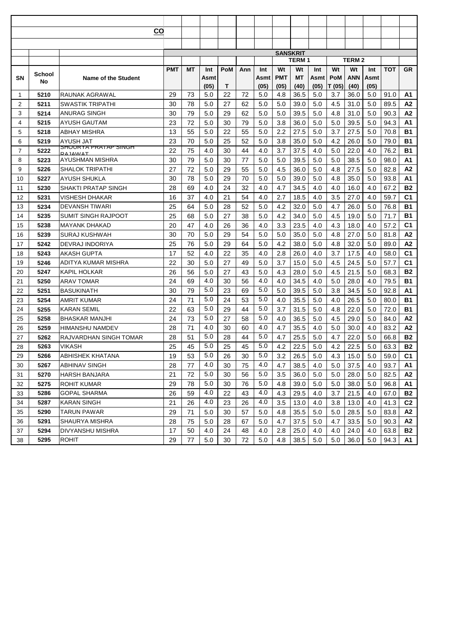|                |        |                                        | CO         |    |      |            |     |      |                 |              |      |        |              |      |            |                |
|----------------|--------|----------------------------------------|------------|----|------|------------|-----|------|-----------------|--------------|------|--------|--------------|------|------------|----------------|
|                |        |                                        |            |    |      |            |     |      |                 |              |      |        |              |      |            |                |
|                |        |                                        |            |    |      |            |     |      |                 |              |      |        |              |      |            |                |
|                |        |                                        |            |    |      |            |     |      | <b>SANSKRIT</b> | <b>TERM1</b> |      |        | <b>TERM2</b> |      |            |                |
|                |        |                                        | <b>PMT</b> | МT | Int  | <b>PoM</b> | Ann | Int  | Wt              | Wt           | Int  | Wt     | Wt           | Int  | <b>TOT</b> | <b>GR</b>      |
| SΝ             | School | <b>Name of the Student</b>             |            |    | Asmt |            |     | Asmt | <b>PMT</b>      | МT           | Asmt | PoM    | ANN          | Asmt |            |                |
|                | No     |                                        |            |    | (05) | Т          |     | (05) | (05)            | (40)         | (05) | T (05) | (40)         | (05) |            |                |
| 1              | 5210   | RAUNAK AGRAWAL                         | 29         | 73 | 5.0  | 22         | 72  | 5.0  | 4.8             | 36.5         | 5.0  | 3.7    | 36.0         | 5.0  | 91.0       | A1             |
| $\overline{2}$ | 5211   | SWASTIK TRIPATHI                       | 30         | 78 | 5.0  | 27         | 62  | 5.0  | 5.0             | 39.0         | 5.0  | 4.5    | 31.0         | 5.0  | 89.5       | А2             |
| 3              | 5214   | ANURAG SINGH                           | 30         | 79 | 5.0  | 29         | 62  | 5.0  | 5.0             | 39.5         | 5.0  | 4.8    | 31.0         | 5.0  | 90.3       | A <sub>2</sub> |
| 4              | 5215   | AYUSH GAUTAM                           | 23         | 72 | 5.0  | 30         | 79  | 5.0  | 3.8             | 36.0         | 5.0  | 5.0    | 39.5         | 5.0  | 94.3       | A <sub>1</sub> |
| 5              | 5218   | ABHAY MISHRA                           | 13         | 55 | 5.0  | 22         | 55  | 5.0  | 2.2             | 27.5         | 5.0  | 3.7    | 27.5         | 5.0  | 70.8       | <b>B1</b>      |
| 6              | 5219   | AYUSH JAT                              | 23         | 70 | 5.0  | 25         | 52  | 5.0  | 3.8             | 35.0         | 5.0  | 4.2    | 26.0         | 5.0  | 79.0       | <b>B1</b>      |
| $\overline{7}$ | 5222   | <u>SHUURTA PRATAP SINGH</u><br>RAIAMAT | 22         | 75 | 4.0  | 30         | 44  | 4.0  | 3.7             | 37.5         | 4.0  | 5.0    | 22.0         | 4.0  | 76.2       | <b>B1</b>      |
| 8              | 5223   | AYUSHMAN MISHRA                        | 30         | 79 | 5.0  | 30         | 77  | 5.0  | 5.0             | 39.5         | 5.0  | 5.0    | 38.5         | 5.0  | 98.0       | Α1             |
| 9              | 5226   | SHALOK TRIPATHI                        | 27         | 72 | 5.0  | 29         | 55  | 5.0  | 4.5             | 36.0         | 5.0  | 4.8    | 27.5         | 5.0  | 82.8       | Α2             |
| 10             | 5227   | AYUSH SHUKLA                           | 30         | 78 | 5.0  | 29         | 70  | 5.0  | 5.0             | 39.0         | 5.0  | 4.8    | 35.0         | 5.0  | 93.8       | A1             |
| 11             | 5230   | SHAKTI PRATAP SINGH                    | 28         | 69 | 4.0  | 24         | 32  | 4.0  | 4.7             | 34.5         | 4.0  | 4.0    | 16.0         | 4.0  | 67.2       | <b>B2</b>      |
| 12             | 5231   | VISHESH DHAKAR                         | 16         | 37 | 4.0  | 21         | 54  | 4.0  | 2.7             | 18.5         | 4.0  | 3.5    | 27.0         | 4.0  | 59.7       | C1             |
| 13             | 5234   | DEVANSH TIWARI                         | 25         | 64 | 5.0  | 28         | 52  | 5.0  | 4.2             | 32.0         | 5.0  | 4.7    | 26.0         | 5.0  | 76.8       | <b>B1</b>      |
| 14             | 5235   | SUMIT SINGH RAJPOOT                    | 25         | 68 | 5.0  | 27         | 38  | 5.0  | 4.2             | 34.0         | 5.0  | 4.5    | 19.0         | 5.0  | 71.7       | <b>B1</b>      |
| 15             | 5238   | <b>MAYANK DHAKAD</b>                   | 20         | 47 | 4.0  | 26         | 36  | 4.0  | 3.3             | 23.5         | 4.0  | 4.3    | 18.0         | 4.0  | 57.2       | C <sub>1</sub> |
| 16             | 5239   | SURAJ KUSHWAH                          | 30         | 70 | 5.0  | 29         | 54  | 5.0  | 5.0             | 35.0         | 5.0  | 4.8    | 27.0         | 5.0  | 81.8       | A2             |
| 17             | 5242   | DEVRAJ INDORIYA                        | 25         | 76 | 5.0  | 29         | 64  | 5.0  | 4.2             | 38.0         | 5.0  | 4.8    | 32.0         | 5.0  | 89.0       | A2             |
| 18             | 5243   | AKASH GUPTA                            | 17         | 52 | 4.0  | 22         | 35  | 4.0  | 2.8             | 26.0         | 4.0  | 3.7    | 17.5         | 4.0  | 58.0       | C1             |
| 19             | 5246   | ADITYA KUMAR MISHRA                    | 22         | 30 | 5.0  | 27         | 49  | 5.0  | 3.7             | 15.0         | 5.0  | 4.5    | 24.5         | 5.0  | 57.7       | C <sub>1</sub> |
| 20             | 5247   | KAPIL HOLKAR                           | 26         | 56 | 5.0  | 27         | 43  | 5.0  | 4.3             | 28.0         | 5.0  | 4.5    | 21.5         | 5.0  | 68.3       | <b>B2</b>      |
| 21             | 5250   | ARAV TOMAR                             | 24         | 69 | 4.0  | 30         | 56  | 4.0  | 4.0             | 34.5         | 4.0  | 5.0    | 28.0         | 4.0  | 79.5       | <b>B1</b>      |
| 22             | 5251   | BASUKINATH                             | 30         | 79 | 5.0  | 23         | 69  | 5.0  | 5.0             | 39.5         | 5.0  | 3.8    | 34.5         | 5.0  | 92.8       | A1             |
| 23             | 5254   | AMRIT KUMAR                            | 24         | 71 | 5.0  | 24         | 53  | 5.0  | 4.0             | 35.5         | 5.0  | 4.0    | 26.5         | 5.0  | 80.0       | <b>B1</b>      |
| 24             | 5255   | KARAN SEMIL                            | 22         | 63 | 5.0  | 29         | 44  | 5.0  | 3.7             | 31.5         | 5.0  | 4.8    | 22.0         | 5.0  | 72.0       | <b>B1</b>      |
| 25             | 5258   | <b>BHASKAR MANJHI</b>                  | 24         | 73 | 5.0  | 27         | 58  | 5.0  | 4.0             | 36.5         | 5.0  | 4.5    | 29.0         | 5.0  | 84.0       | A2             |
| 26             | 5259   | HIMANSHU NAMDEV                        | 28         | 71 | 4.0  | 30         | 60  | 4.0  | 4.7             | 35.5         | 4.0  | 5.0    | 30.0         | 4.0  | 83.2       | A2             |
| 27             | 5262   | RAJVARDHAN SINGH TOMAR                 | 28         | 51 | 5.0  | 28         | 44  | 5.0  | 4.7             | 25.5         | 5.0  | 4.7    | 22.0         | 5.0  | 66.8       | <b>B2</b>      |
| 28             | 5263   | VIKASH                                 | 25         | 45 | 5.0  | 25         | 45  | 5.0  | 4.2             | 22.5         | 5.0  | 4.2    | 22.5         | 5.0  | 63.3       | <b>B2</b>      |
| 29             | 5266   | <b>ABHISHEK KHATANA</b>                | 19         | 53 | 5.0  | 26         | 30  | 5.0  | 3.2             | 26.5         | 5.0  | 4.3    | 15.0         | 5.0  | 59.0       | C <sub>1</sub> |
| 30             | 5267   | ABHINAV SINGH                          | 28         | 77 | 4.0  | 30         | 75  | 4.0  | 4.7             | 38.5         | 4.0  | 5.0    | 37.5         | 4.0  | 93.7       | А1             |
| 31             | 5270   | HARSH BANJARA                          | 21         | 72 | 5.0  | 30         | 56  | 5.0  | 3.5             | 36.0         | 5.0  | 5.0    | 28.0         | 5.0  | 82.5       | A2             |
| 32             | 5275   | ROHIT KUMAR                            | 29         | 78 | 5.0  | 30         | 76  | 5.0  | 4.8             | 39.0         | 5.0  | 5.0    | 38.0         | 5.0  | 96.8       | А1             |
| 33             | 5286   | GOPAL SHARMA                           | 26         | 59 | 4.0  | 22         | 43  | 4.0  | 4.3             | 29.5         | 4.0  | 3.7    | 21.5         | 4.0  | 67.0       | <b>B2</b>      |
| 34             | 5287   | KARAN SINGH                            | 21         | 26 | 4.0  | 23         | 26  | 4.0  | 3.5             | 13.0         | 4.0  | 3.8    | 13.0         | 4.0  | 41.3       | C <sub>2</sub> |
| 35             | 5290   | TARUN PAWAR                            | 29         | 71 | 5.0  | 30         | 57  | 5.0  | 4.8             | 35.5         | 5.0  | 5.0    | 28.5         | 5.0  | 83.8       | A2             |
| 36             | 5291   | SHAURYA MISHRA                         | 28         | 75 | 5.0  | 28         | 67  | 5.0  | 4.7             | 37.5         | 5.0  | 4.7    | 33.5         | 5.0  | 90.3       | А2             |
| 37             | 5294   | DIVYANSHU MISHRA                       | 17         | 50 | 4.0  | 24         | 48  | 4.0  | 2.8             | 25.0         | 4.0  | 4.0    | 24.0         | 4.0  | 63.8       | <b>B2</b>      |
| 38             | 5295   | <b>ROHIT</b>                           | 29         | 77 | 5.0  | 30         | 72  | 5.0  | 4.8             | 38.5         | 5.0  | 5.0    | 36.0         | 5.0  | 94.3       | A1.            |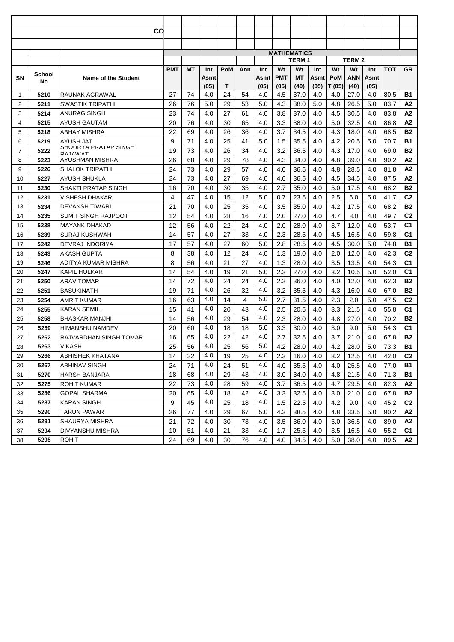| $\overline{\mathbf{c}}$<br><b>MATHEMATICS</b><br><b>TERM1</b><br><b>TERM2</b><br><b>PMT</b><br>Wt<br>Wt<br>Wt<br>Wt<br>МT<br><b>PoM</b><br>Int<br><b>TOT</b><br>Int<br>Ann<br>Int<br>Int<br>School<br>SΝ<br>Name of the Student<br><b>PMT</b><br>МT<br>PoM<br>ANN<br>Asmt<br>Asmt<br>Asmtl<br>Asmt<br>No<br>(05)<br>Т<br>(05)<br>(05)<br>(40)<br>(05)<br>T (05)<br>(40)<br>(05)<br>27<br>74<br>24<br>54<br>4.5<br>37.0<br>27.0<br>80.5<br>5210<br>RAUNAK AGRAWAL<br>4.0<br>4.0<br>4.0<br>4.0<br>4.0<br>1<br>$\overline{2}$<br><b>SWASTIK TRIPATHI</b><br>26<br>76<br>5.0<br>29<br>53<br>5.0<br>4.3<br>26.5<br>5.0<br>83.7<br>5211<br>38.0<br>5.0<br>4.8<br>3<br>23<br>74<br>27<br>61<br>3.8<br>4.5<br>83.8<br>5214<br>ANURAG SINGH<br>4.0<br>4.0<br>37.0<br>4.0<br>30.5<br>4.0<br>76<br>20<br>4.0<br>30<br>65<br>4.0<br>3.3<br>38.0<br>4.0<br>5.0<br>32.5<br>4.0<br>86.8<br>4<br>5215<br>AYUSH GAUTAM<br>5<br>ABHAY MISHRA<br>22<br>36<br>3.7<br>34.5<br>68.5<br>5218<br>69<br>4.0<br>26<br>4.0<br>4.0<br>4.3<br>18.0<br>4.0<br>6<br>5219<br>9<br>71<br>25<br>4.2<br>70.7<br>AYUSH JAT<br>4.0<br>41<br>5.0<br>1.5<br>35.5<br>4.0<br>20.5<br>5.0<br>SHUURTA PRATAP SINGH<br>19<br>73<br>34<br>$\overline{7}$<br>4.0<br>26<br>4.0<br>3.2<br>36.5<br>4.0<br>4.3<br>17.0<br>4.0<br>69.0<br>5222<br>RΔ ΙΔΜΙΔ <b>Τ</b><br>26<br>78<br>8<br>AYUSHMAN MISHRA<br>68<br>29<br>4.3<br>34.0<br>90.2<br>5223<br>4.0<br>4.0<br>4.0<br>4.8<br>39.0<br>4.0<br>24<br>73<br>9<br>5226<br>SHALOK TRIPATHI<br>4.0<br>29<br>57<br>4.0<br>4.0<br>36.5<br>4.0<br>4.8<br>28.5<br>4.0<br>81.8<br>73<br>5227<br>24<br>4.0<br>27<br>69<br>4.0<br>4.0<br>36.5<br>4.0<br>4.5<br>34.5<br>4.0<br>87.5<br>10<br>AYUSH SHUKLA<br>35<br>35.0<br>11<br>5230<br>SHAKTI PRATAP SINGH<br>16<br>70<br>4.0<br>30<br>4.0<br>2.7<br>4.0<br>5.0<br>17.5<br>4.0<br>68.2<br>12<br>5231<br>47<br>15<br>12<br>23.5<br>2.5<br>5.0<br>41.7<br>VISHESH DHAKAR<br>4<br>4.0<br>5.0<br>0.7<br>4.0<br>6.0<br>21<br>70<br>4.0<br>25<br>35<br>4.0<br>3.5<br>35.0<br>4.0<br>4.2<br>17.5<br>4.0<br>68.2<br>13<br>5234<br>DEVANSH TIWARI<br>SUMIT SINGH RAJPOOT<br>12<br>54<br>4.0<br>16<br>4.0<br>2.0<br>27.0<br>4.0<br>4.7<br>8.0<br>4.0<br>49.7<br>14<br>5235<br>28<br>24<br>53.7<br>15<br>5238<br><b>MAYANK DHAKAD</b><br>12<br>56<br>4.0<br>22<br>4.0<br>2.0<br>28.0<br>4.0<br>3.7<br>12.0<br>4.0<br>57<br>59.8<br>5239<br><b>SURAJ KUSHWAH</b><br>14<br>4.0<br>27<br>33<br>4.0<br>2.3<br>28.5<br>4.0<br>4.5<br>16.5<br>4.0<br>16<br>57<br>2.8<br>28.5<br>74.8<br>17<br>5242<br>DEVRAJ INDORIYA<br>17<br>4.0<br>27<br>60<br>5.0<br>4.0<br>4.5<br>30.0<br>5.0<br>5243<br><b>AKASH GUPTA</b><br>8<br>12<br>1.3<br>4.0<br>42.3<br>18<br>38<br>4.0<br>24<br>4.0<br>19.0<br>4.0<br>2.0<br>12.0<br>8<br>21<br>27<br>1.3<br>3.5<br>13.5<br>54.3<br>56<br>4.0<br>4.0<br>28.0<br>4.0<br>4.0<br>19<br>5246<br>ADITYA KUMAR MISHRA<br>54<br>21<br>52.0<br>20<br>KAPIL HOLKAR<br>14<br>4.0<br>19<br>5.0<br>2.3<br>27.0<br>4.0<br>3.2<br>10.5<br>5.0<br>5247<br>4.0<br>4.0<br>72<br>24<br>2.3<br>62.3<br>21<br>5250<br>ARAV TOMAR<br>14<br>24<br>36.0<br>4.0<br>4.0<br>12.0<br>4.0<br>4.0<br>4.0<br>71<br>32<br>3.2<br>5251<br>19<br>26<br>35.5<br>4.0<br>4.3<br>16.0<br>4.0<br>67.0<br>22<br><b>BASUKINATH</b><br>5.0<br>4.0<br>63<br>4<br>2.7<br>31.5<br>2.3<br>2.0<br>5.0<br>47.5<br>23<br>5254<br>AMRIT KUMAR<br>16<br>14<br>4.0<br>4.0<br>4.0<br>15<br>43<br>2.5<br>55.8<br>5255<br>41<br>20<br>20.5<br>4.0<br>3.3<br>21.5<br>4.0<br>24<br><b>KARAN SEMIL</b><br>4.0<br>4.0<br>5258<br>29<br>54<br>2.3<br>4.0<br>27.0<br>4.0<br>70.2<br>25<br><b>BHASKAR MANJHI</b><br>14<br>56<br>28.0<br>4.8 | GR<br><b>B1</b><br>A2<br>A2<br>A2<br><b>B2</b><br><b>B1</b><br><b>B2</b><br>A <sub>2</sub><br>A2<br>А2<br><b>B2</b><br>C <sub>2</sub><br><b>B2</b> |
|----------------------------------------------------------------------------------------------------------------------------------------------------------------------------------------------------------------------------------------------------------------------------------------------------------------------------------------------------------------------------------------------------------------------------------------------------------------------------------------------------------------------------------------------------------------------------------------------------------------------------------------------------------------------------------------------------------------------------------------------------------------------------------------------------------------------------------------------------------------------------------------------------------------------------------------------------------------------------------------------------------------------------------------------------------------------------------------------------------------------------------------------------------------------------------------------------------------------------------------------------------------------------------------------------------------------------------------------------------------------------------------------------------------------------------------------------------------------------------------------------------------------------------------------------------------------------------------------------------------------------------------------------------------------------------------------------------------------------------------------------------------------------------------------------------------------------------------------------------------------------------------------------------------------------------------------------------------------------------------------------------------------------------------------------------------------------------------------------------------------------------------------------------------------------------------------------------------------------------------------------------------------------------------------------------------------------------------------------------------------------------------------------------------------------------------------------------------------------------------------------------------------------------------------------------------------------------------------------------------------------------------------------------------------------------------------------------------------------------------------------------------------------------------------------------------------------------------------------------------------------------------------------------------------------------------------------------------------------------------------------------------------------------------------------------------------------------------------------------------------------------------------------------------------------------------------------------------------------------------------------------------------------------------------------------------------------------------------------------------------------------------------------------------------------------------------------------------------------------------------------------------------------------------------------------------------------------------------------------------------------------|----------------------------------------------------------------------------------------------------------------------------------------------------|
|                                                                                                                                                                                                                                                                                                                                                                                                                                                                                                                                                                                                                                                                                                                                                                                                                                                                                                                                                                                                                                                                                                                                                                                                                                                                                                                                                                                                                                                                                                                                                                                                                                                                                                                                                                                                                                                                                                                                                                                                                                                                                                                                                                                                                                                                                                                                                                                                                                                                                                                                                                                                                                                                                                                                                                                                                                                                                                                                                                                                                                                                                                                                                                                                                                                                                                                                                                                                                                                                                                                                                                                                                                  |                                                                                                                                                    |
|                                                                                                                                                                                                                                                                                                                                                                                                                                                                                                                                                                                                                                                                                                                                                                                                                                                                                                                                                                                                                                                                                                                                                                                                                                                                                                                                                                                                                                                                                                                                                                                                                                                                                                                                                                                                                                                                                                                                                                                                                                                                                                                                                                                                                                                                                                                                                                                                                                                                                                                                                                                                                                                                                                                                                                                                                                                                                                                                                                                                                                                                                                                                                                                                                                                                                                                                                                                                                                                                                                                                                                                                                                  |                                                                                                                                                    |
|                                                                                                                                                                                                                                                                                                                                                                                                                                                                                                                                                                                                                                                                                                                                                                                                                                                                                                                                                                                                                                                                                                                                                                                                                                                                                                                                                                                                                                                                                                                                                                                                                                                                                                                                                                                                                                                                                                                                                                                                                                                                                                                                                                                                                                                                                                                                                                                                                                                                                                                                                                                                                                                                                                                                                                                                                                                                                                                                                                                                                                                                                                                                                                                                                                                                                                                                                                                                                                                                                                                                                                                                                                  |                                                                                                                                                    |
|                                                                                                                                                                                                                                                                                                                                                                                                                                                                                                                                                                                                                                                                                                                                                                                                                                                                                                                                                                                                                                                                                                                                                                                                                                                                                                                                                                                                                                                                                                                                                                                                                                                                                                                                                                                                                                                                                                                                                                                                                                                                                                                                                                                                                                                                                                                                                                                                                                                                                                                                                                                                                                                                                                                                                                                                                                                                                                                                                                                                                                                                                                                                                                                                                                                                                                                                                                                                                                                                                                                                                                                                                                  |                                                                                                                                                    |
|                                                                                                                                                                                                                                                                                                                                                                                                                                                                                                                                                                                                                                                                                                                                                                                                                                                                                                                                                                                                                                                                                                                                                                                                                                                                                                                                                                                                                                                                                                                                                                                                                                                                                                                                                                                                                                                                                                                                                                                                                                                                                                                                                                                                                                                                                                                                                                                                                                                                                                                                                                                                                                                                                                                                                                                                                                                                                                                                                                                                                                                                                                                                                                                                                                                                                                                                                                                                                                                                                                                                                                                                                                  |                                                                                                                                                    |
|                                                                                                                                                                                                                                                                                                                                                                                                                                                                                                                                                                                                                                                                                                                                                                                                                                                                                                                                                                                                                                                                                                                                                                                                                                                                                                                                                                                                                                                                                                                                                                                                                                                                                                                                                                                                                                                                                                                                                                                                                                                                                                                                                                                                                                                                                                                                                                                                                                                                                                                                                                                                                                                                                                                                                                                                                                                                                                                                                                                                                                                                                                                                                                                                                                                                                                                                                                                                                                                                                                                                                                                                                                  |                                                                                                                                                    |
|                                                                                                                                                                                                                                                                                                                                                                                                                                                                                                                                                                                                                                                                                                                                                                                                                                                                                                                                                                                                                                                                                                                                                                                                                                                                                                                                                                                                                                                                                                                                                                                                                                                                                                                                                                                                                                                                                                                                                                                                                                                                                                                                                                                                                                                                                                                                                                                                                                                                                                                                                                                                                                                                                                                                                                                                                                                                                                                                                                                                                                                                                                                                                                                                                                                                                                                                                                                                                                                                                                                                                                                                                                  |                                                                                                                                                    |
|                                                                                                                                                                                                                                                                                                                                                                                                                                                                                                                                                                                                                                                                                                                                                                                                                                                                                                                                                                                                                                                                                                                                                                                                                                                                                                                                                                                                                                                                                                                                                                                                                                                                                                                                                                                                                                                                                                                                                                                                                                                                                                                                                                                                                                                                                                                                                                                                                                                                                                                                                                                                                                                                                                                                                                                                                                                                                                                                                                                                                                                                                                                                                                                                                                                                                                                                                                                                                                                                                                                                                                                                                                  |                                                                                                                                                    |
|                                                                                                                                                                                                                                                                                                                                                                                                                                                                                                                                                                                                                                                                                                                                                                                                                                                                                                                                                                                                                                                                                                                                                                                                                                                                                                                                                                                                                                                                                                                                                                                                                                                                                                                                                                                                                                                                                                                                                                                                                                                                                                                                                                                                                                                                                                                                                                                                                                                                                                                                                                                                                                                                                                                                                                                                                                                                                                                                                                                                                                                                                                                                                                                                                                                                                                                                                                                                                                                                                                                                                                                                                                  |                                                                                                                                                    |
|                                                                                                                                                                                                                                                                                                                                                                                                                                                                                                                                                                                                                                                                                                                                                                                                                                                                                                                                                                                                                                                                                                                                                                                                                                                                                                                                                                                                                                                                                                                                                                                                                                                                                                                                                                                                                                                                                                                                                                                                                                                                                                                                                                                                                                                                                                                                                                                                                                                                                                                                                                                                                                                                                                                                                                                                                                                                                                                                                                                                                                                                                                                                                                                                                                                                                                                                                                                                                                                                                                                                                                                                                                  |                                                                                                                                                    |
|                                                                                                                                                                                                                                                                                                                                                                                                                                                                                                                                                                                                                                                                                                                                                                                                                                                                                                                                                                                                                                                                                                                                                                                                                                                                                                                                                                                                                                                                                                                                                                                                                                                                                                                                                                                                                                                                                                                                                                                                                                                                                                                                                                                                                                                                                                                                                                                                                                                                                                                                                                                                                                                                                                                                                                                                                                                                                                                                                                                                                                                                                                                                                                                                                                                                                                                                                                                                                                                                                                                                                                                                                                  |                                                                                                                                                    |
|                                                                                                                                                                                                                                                                                                                                                                                                                                                                                                                                                                                                                                                                                                                                                                                                                                                                                                                                                                                                                                                                                                                                                                                                                                                                                                                                                                                                                                                                                                                                                                                                                                                                                                                                                                                                                                                                                                                                                                                                                                                                                                                                                                                                                                                                                                                                                                                                                                                                                                                                                                                                                                                                                                                                                                                                                                                                                                                                                                                                                                                                                                                                                                                                                                                                                                                                                                                                                                                                                                                                                                                                                                  |                                                                                                                                                    |
|                                                                                                                                                                                                                                                                                                                                                                                                                                                                                                                                                                                                                                                                                                                                                                                                                                                                                                                                                                                                                                                                                                                                                                                                                                                                                                                                                                                                                                                                                                                                                                                                                                                                                                                                                                                                                                                                                                                                                                                                                                                                                                                                                                                                                                                                                                                                                                                                                                                                                                                                                                                                                                                                                                                                                                                                                                                                                                                                                                                                                                                                                                                                                                                                                                                                                                                                                                                                                                                                                                                                                                                                                                  |                                                                                                                                                    |
|                                                                                                                                                                                                                                                                                                                                                                                                                                                                                                                                                                                                                                                                                                                                                                                                                                                                                                                                                                                                                                                                                                                                                                                                                                                                                                                                                                                                                                                                                                                                                                                                                                                                                                                                                                                                                                                                                                                                                                                                                                                                                                                                                                                                                                                                                                                                                                                                                                                                                                                                                                                                                                                                                                                                                                                                                                                                                                                                                                                                                                                                                                                                                                                                                                                                                                                                                                                                                                                                                                                                                                                                                                  |                                                                                                                                                    |
|                                                                                                                                                                                                                                                                                                                                                                                                                                                                                                                                                                                                                                                                                                                                                                                                                                                                                                                                                                                                                                                                                                                                                                                                                                                                                                                                                                                                                                                                                                                                                                                                                                                                                                                                                                                                                                                                                                                                                                                                                                                                                                                                                                                                                                                                                                                                                                                                                                                                                                                                                                                                                                                                                                                                                                                                                                                                                                                                                                                                                                                                                                                                                                                                                                                                                                                                                                                                                                                                                                                                                                                                                                  |                                                                                                                                                    |
|                                                                                                                                                                                                                                                                                                                                                                                                                                                                                                                                                                                                                                                                                                                                                                                                                                                                                                                                                                                                                                                                                                                                                                                                                                                                                                                                                                                                                                                                                                                                                                                                                                                                                                                                                                                                                                                                                                                                                                                                                                                                                                                                                                                                                                                                                                                                                                                                                                                                                                                                                                                                                                                                                                                                                                                                                                                                                                                                                                                                                                                                                                                                                                                                                                                                                                                                                                                                                                                                                                                                                                                                                                  |                                                                                                                                                    |
|                                                                                                                                                                                                                                                                                                                                                                                                                                                                                                                                                                                                                                                                                                                                                                                                                                                                                                                                                                                                                                                                                                                                                                                                                                                                                                                                                                                                                                                                                                                                                                                                                                                                                                                                                                                                                                                                                                                                                                                                                                                                                                                                                                                                                                                                                                                                                                                                                                                                                                                                                                                                                                                                                                                                                                                                                                                                                                                                                                                                                                                                                                                                                                                                                                                                                                                                                                                                                                                                                                                                                                                                                                  |                                                                                                                                                    |
|                                                                                                                                                                                                                                                                                                                                                                                                                                                                                                                                                                                                                                                                                                                                                                                                                                                                                                                                                                                                                                                                                                                                                                                                                                                                                                                                                                                                                                                                                                                                                                                                                                                                                                                                                                                                                                                                                                                                                                                                                                                                                                                                                                                                                                                                                                                                                                                                                                                                                                                                                                                                                                                                                                                                                                                                                                                                                                                                                                                                                                                                                                                                                                                                                                                                                                                                                                                                                                                                                                                                                                                                                                  |                                                                                                                                                    |
|                                                                                                                                                                                                                                                                                                                                                                                                                                                                                                                                                                                                                                                                                                                                                                                                                                                                                                                                                                                                                                                                                                                                                                                                                                                                                                                                                                                                                                                                                                                                                                                                                                                                                                                                                                                                                                                                                                                                                                                                                                                                                                                                                                                                                                                                                                                                                                                                                                                                                                                                                                                                                                                                                                                                                                                                                                                                                                                                                                                                                                                                                                                                                                                                                                                                                                                                                                                                                                                                                                                                                                                                                                  |                                                                                                                                                    |
|                                                                                                                                                                                                                                                                                                                                                                                                                                                                                                                                                                                                                                                                                                                                                                                                                                                                                                                                                                                                                                                                                                                                                                                                                                                                                                                                                                                                                                                                                                                                                                                                                                                                                                                                                                                                                                                                                                                                                                                                                                                                                                                                                                                                                                                                                                                                                                                                                                                                                                                                                                                                                                                                                                                                                                                                                                                                                                                                                                                                                                                                                                                                                                                                                                                                                                                                                                                                                                                                                                                                                                                                                                  |                                                                                                                                                    |
|                                                                                                                                                                                                                                                                                                                                                                                                                                                                                                                                                                                                                                                                                                                                                                                                                                                                                                                                                                                                                                                                                                                                                                                                                                                                                                                                                                                                                                                                                                                                                                                                                                                                                                                                                                                                                                                                                                                                                                                                                                                                                                                                                                                                                                                                                                                                                                                                                                                                                                                                                                                                                                                                                                                                                                                                                                                                                                                                                                                                                                                                                                                                                                                                                                                                                                                                                                                                                                                                                                                                                                                                                                  | C <sub>2</sub>                                                                                                                                     |
|                                                                                                                                                                                                                                                                                                                                                                                                                                                                                                                                                                                                                                                                                                                                                                                                                                                                                                                                                                                                                                                                                                                                                                                                                                                                                                                                                                                                                                                                                                                                                                                                                                                                                                                                                                                                                                                                                                                                                                                                                                                                                                                                                                                                                                                                                                                                                                                                                                                                                                                                                                                                                                                                                                                                                                                                                                                                                                                                                                                                                                                                                                                                                                                                                                                                                                                                                                                                                                                                                                                                                                                                                                  | C <sub>1</sub>                                                                                                                                     |
|                                                                                                                                                                                                                                                                                                                                                                                                                                                                                                                                                                                                                                                                                                                                                                                                                                                                                                                                                                                                                                                                                                                                                                                                                                                                                                                                                                                                                                                                                                                                                                                                                                                                                                                                                                                                                                                                                                                                                                                                                                                                                                                                                                                                                                                                                                                                                                                                                                                                                                                                                                                                                                                                                                                                                                                                                                                                                                                                                                                                                                                                                                                                                                                                                                                                                                                                                                                                                                                                                                                                                                                                                                  | C <sub>1</sub>                                                                                                                                     |
|                                                                                                                                                                                                                                                                                                                                                                                                                                                                                                                                                                                                                                                                                                                                                                                                                                                                                                                                                                                                                                                                                                                                                                                                                                                                                                                                                                                                                                                                                                                                                                                                                                                                                                                                                                                                                                                                                                                                                                                                                                                                                                                                                                                                                                                                                                                                                                                                                                                                                                                                                                                                                                                                                                                                                                                                                                                                                                                                                                                                                                                                                                                                                                                                                                                                                                                                                                                                                                                                                                                                                                                                                                  | <b>B1</b>                                                                                                                                          |
|                                                                                                                                                                                                                                                                                                                                                                                                                                                                                                                                                                                                                                                                                                                                                                                                                                                                                                                                                                                                                                                                                                                                                                                                                                                                                                                                                                                                                                                                                                                                                                                                                                                                                                                                                                                                                                                                                                                                                                                                                                                                                                                                                                                                                                                                                                                                                                                                                                                                                                                                                                                                                                                                                                                                                                                                                                                                                                                                                                                                                                                                                                                                                                                                                                                                                                                                                                                                                                                                                                                                                                                                                                  | C <sub>2</sub>                                                                                                                                     |
|                                                                                                                                                                                                                                                                                                                                                                                                                                                                                                                                                                                                                                                                                                                                                                                                                                                                                                                                                                                                                                                                                                                                                                                                                                                                                                                                                                                                                                                                                                                                                                                                                                                                                                                                                                                                                                                                                                                                                                                                                                                                                                                                                                                                                                                                                                                                                                                                                                                                                                                                                                                                                                                                                                                                                                                                                                                                                                                                                                                                                                                                                                                                                                                                                                                                                                                                                                                                                                                                                                                                                                                                                                  | C <sub>1</sub>                                                                                                                                     |
|                                                                                                                                                                                                                                                                                                                                                                                                                                                                                                                                                                                                                                                                                                                                                                                                                                                                                                                                                                                                                                                                                                                                                                                                                                                                                                                                                                                                                                                                                                                                                                                                                                                                                                                                                                                                                                                                                                                                                                                                                                                                                                                                                                                                                                                                                                                                                                                                                                                                                                                                                                                                                                                                                                                                                                                                                                                                                                                                                                                                                                                                                                                                                                                                                                                                                                                                                                                                                                                                                                                                                                                                                                  | C <sub>1</sub>                                                                                                                                     |
|                                                                                                                                                                                                                                                                                                                                                                                                                                                                                                                                                                                                                                                                                                                                                                                                                                                                                                                                                                                                                                                                                                                                                                                                                                                                                                                                                                                                                                                                                                                                                                                                                                                                                                                                                                                                                                                                                                                                                                                                                                                                                                                                                                                                                                                                                                                                                                                                                                                                                                                                                                                                                                                                                                                                                                                                                                                                                                                                                                                                                                                                                                                                                                                                                                                                                                                                                                                                                                                                                                                                                                                                                                  | <b>B2</b>                                                                                                                                          |
|                                                                                                                                                                                                                                                                                                                                                                                                                                                                                                                                                                                                                                                                                                                                                                                                                                                                                                                                                                                                                                                                                                                                                                                                                                                                                                                                                                                                                                                                                                                                                                                                                                                                                                                                                                                                                                                                                                                                                                                                                                                                                                                                                                                                                                                                                                                                                                                                                                                                                                                                                                                                                                                                                                                                                                                                                                                                                                                                                                                                                                                                                                                                                                                                                                                                                                                                                                                                                                                                                                                                                                                                                                  | <b>B2</b>                                                                                                                                          |
|                                                                                                                                                                                                                                                                                                                                                                                                                                                                                                                                                                                                                                                                                                                                                                                                                                                                                                                                                                                                                                                                                                                                                                                                                                                                                                                                                                                                                                                                                                                                                                                                                                                                                                                                                                                                                                                                                                                                                                                                                                                                                                                                                                                                                                                                                                                                                                                                                                                                                                                                                                                                                                                                                                                                                                                                                                                                                                                                                                                                                                                                                                                                                                                                                                                                                                                                                                                                                                                                                                                                                                                                                                  | C <sub>2</sub>                                                                                                                                     |
|                                                                                                                                                                                                                                                                                                                                                                                                                                                                                                                                                                                                                                                                                                                                                                                                                                                                                                                                                                                                                                                                                                                                                                                                                                                                                                                                                                                                                                                                                                                                                                                                                                                                                                                                                                                                                                                                                                                                                                                                                                                                                                                                                                                                                                                                                                                                                                                                                                                                                                                                                                                                                                                                                                                                                                                                                                                                                                                                                                                                                                                                                                                                                                                                                                                                                                                                                                                                                                                                                                                                                                                                                                  | C <sub>1</sub>                                                                                                                                     |
|                                                                                                                                                                                                                                                                                                                                                                                                                                                                                                                                                                                                                                                                                                                                                                                                                                                                                                                                                                                                                                                                                                                                                                                                                                                                                                                                                                                                                                                                                                                                                                                                                                                                                                                                                                                                                                                                                                                                                                                                                                                                                                                                                                                                                                                                                                                                                                                                                                                                                                                                                                                                                                                                                                                                                                                                                                                                                                                                                                                                                                                                                                                                                                                                                                                                                                                                                                                                                                                                                                                                                                                                                                  | <b>B2</b>                                                                                                                                          |
| 5.0<br>4.0<br>5259<br>18<br>18<br>3.3<br>3.0<br>5.0<br>54.3<br>26<br>HIMANSHU NAMDEV<br>20<br>60<br>30.0<br>4.0<br>9.0                                                                                                                                                                                                                                                                                                                                                                                                                                                                                                                                                                                                                                                                                                                                                                                                                                                                                                                                                                                                                                                                                                                                                                                                                                                                                                                                                                                                                                                                                                                                                                                                                                                                                                                                                                                                                                                                                                                                                                                                                                                                                                                                                                                                                                                                                                                                                                                                                                                                                                                                                                                                                                                                                                                                                                                                                                                                                                                                                                                                                                                                                                                                                                                                                                                                                                                                                                                                                                                                                                           | C <sub>1</sub>                                                                                                                                     |
| 4.0<br>4.0<br>5262<br>16<br>22<br>42<br>2.7<br>32.5<br>21.0<br>67.8<br>RAJVARDHAN SINGH TOMAR<br>65<br>4.0<br>3.7<br>4.0<br>27                                                                                                                                                                                                                                                                                                                                                                                                                                                                                                                                                                                                                                                                                                                                                                                                                                                                                                                                                                                                                                                                                                                                                                                                                                                                                                                                                                                                                                                                                                                                                                                                                                                                                                                                                                                                                                                                                                                                                                                                                                                                                                                                                                                                                                                                                                                                                                                                                                                                                                                                                                                                                                                                                                                                                                                                                                                                                                                                                                                                                                                                                                                                                                                                                                                                                                                                                                                                                                                                                                   | <b>B2</b>                                                                                                                                          |
| 5.0<br>4.0<br>73.3<br><b>VIKASH</b><br>25<br>56<br>25<br>56<br>4.2<br>28.0<br>4.2<br>28.0<br>5.0<br>5263<br>4.0<br>28                                                                                                                                                                                                                                                                                                                                                                                                                                                                                                                                                                                                                                                                                                                                                                                                                                                                                                                                                                                                                                                                                                                                                                                                                                                                                                                                                                                                                                                                                                                                                                                                                                                                                                                                                                                                                                                                                                                                                                                                                                                                                                                                                                                                                                                                                                                                                                                                                                                                                                                                                                                                                                                                                                                                                                                                                                                                                                                                                                                                                                                                                                                                                                                                                                                                                                                                                                                                                                                                                                            | <b>B1</b>                                                                                                                                          |
| 4.0<br>4.0<br>12.5<br><b>ABHISHEK KHATANA</b><br>16.0<br>3.2<br>5266<br>25<br>2.3<br>4.0<br>4.0<br>42.0<br>32<br>19<br>29<br>14                                                                                                                                                                                                                                                                                                                                                                                                                                                                                                                                                                                                                                                                                                                                                                                                                                                                                                                                                                                                                                                                                                                                                                                                                                                                                                                                                                                                                                                                                                                                                                                                                                                                                                                                                                                                                                                                                                                                                                                                                                                                                                                                                                                                                                                                                                                                                                                                                                                                                                                                                                                                                                                                                                                                                                                                                                                                                                                                                                                                                                                                                                                                                                                                                                                                                                                                                                                                                                                                                                  | C <sub>2</sub>                                                                                                                                     |
| 4.0<br>4.0<br>25.5<br>5267<br><b>ABHINAV SINGH</b><br>24<br>71<br>24<br>51<br>4.0<br>35.5<br>4.0<br>77.0<br>30<br>4.0<br>4.0                                                                                                                                                                                                                                                                                                                                                                                                                                                                                                                                                                                                                                                                                                                                                                                                                                                                                                                                                                                                                                                                                                                                                                                                                                                                                                                                                                                                                                                                                                                                                                                                                                                                                                                                                                                                                                                                                                                                                                                                                                                                                                                                                                                                                                                                                                                                                                                                                                                                                                                                                                                                                                                                                                                                                                                                                                                                                                                                                                                                                                                                                                                                                                                                                                                                                                                                                                                                                                                                                                     | B1                                                                                                                                                 |
| 4.0<br>4.0<br>5270<br><b>HARSH BANJARA</b><br>18<br>68<br>29<br>43<br>34.0<br>21.5<br>71.3<br>31<br>3.0<br>4.0<br>4.8<br>4.0                                                                                                                                                                                                                                                                                                                                                                                                                                                                                                                                                                                                                                                                                                                                                                                                                                                                                                                                                                                                                                                                                                                                                                                                                                                                                                                                                                                                                                                                                                                                                                                                                                                                                                                                                                                                                                                                                                                                                                                                                                                                                                                                                                                                                                                                                                                                                                                                                                                                                                                                                                                                                                                                                                                                                                                                                                                                                                                                                                                                                                                                                                                                                                                                                                                                                                                                                                                                                                                                                                     | B1                                                                                                                                                 |
| 4.0<br>4.0<br>22<br>32<br>5275<br>73<br>28<br>59<br>3.7<br>36.5<br>29.5<br>ROHIT KUMAR<br>4.0<br>4.7<br>4.0<br>82.3                                                                                                                                                                                                                                                                                                                                                                                                                                                                                                                                                                                                                                                                                                                                                                                                                                                                                                                                                                                                                                                                                                                                                                                                                                                                                                                                                                                                                                                                                                                                                                                                                                                                                                                                                                                                                                                                                                                                                                                                                                                                                                                                                                                                                                                                                                                                                                                                                                                                                                                                                                                                                                                                                                                                                                                                                                                                                                                                                                                                                                                                                                                                                                                                                                                                                                                                                                                                                                                                                                              | А2                                                                                                                                                 |
| 4.0<br>4.0<br>5286<br>20<br>18<br>42<br>32.5<br>21.0<br>33<br>GOPAL SHARMA<br>65<br>3.3<br>4.0<br>3.0<br>4.0<br>67.8                                                                                                                                                                                                                                                                                                                                                                                                                                                                                                                                                                                                                                                                                                                                                                                                                                                                                                                                                                                                                                                                                                                                                                                                                                                                                                                                                                                                                                                                                                                                                                                                                                                                                                                                                                                                                                                                                                                                                                                                                                                                                                                                                                                                                                                                                                                                                                                                                                                                                                                                                                                                                                                                                                                                                                                                                                                                                                                                                                                                                                                                                                                                                                                                                                                                                                                                                                                                                                                                                                             | <b>B2</b>                                                                                                                                          |
| 9<br>4.0<br>4.0<br>34<br>5287<br><b>KARAN SINGH</b><br>45<br>25<br>22.5<br>4.2<br>9.0<br>4.0<br>45.2<br>18<br>1.5<br>4.0                                                                                                                                                                                                                                                                                                                                                                                                                                                                                                                                                                                                                                                                                                                                                                                                                                                                                                                                                                                                                                                                                                                                                                                                                                                                                                                                                                                                                                                                                                                                                                                                                                                                                                                                                                                                                                                                                                                                                                                                                                                                                                                                                                                                                                                                                                                                                                                                                                                                                                                                                                                                                                                                                                                                                                                                                                                                                                                                                                                                                                                                                                                                                                                                                                                                                                                                                                                                                                                                                                         | C <sub>2</sub>                                                                                                                                     |
| 35<br>5290<br>TARUN PAWAR<br>26<br>77<br>4.0<br>29<br>67<br>5.0<br>38.5<br>4.0<br>33.5<br>5.0<br>90.2<br>4.3<br>4.8                                                                                                                                                                                                                                                                                                                                                                                                                                                                                                                                                                                                                                                                                                                                                                                                                                                                                                                                                                                                                                                                                                                                                                                                                                                                                                                                                                                                                                                                                                                                                                                                                                                                                                                                                                                                                                                                                                                                                                                                                                                                                                                                                                                                                                                                                                                                                                                                                                                                                                                                                                                                                                                                                                                                                                                                                                                                                                                                                                                                                                                                                                                                                                                                                                                                                                                                                                                                                                                                                                              | A2                                                                                                                                                 |
| 21<br>5291<br><b>SHAURYA MISHRA</b><br>72<br>4.0<br>30<br>73<br>3.5<br>5.0<br>36.5<br>4.0<br>89.0<br>36<br>4.0<br>36.0<br>4.0                                                                                                                                                                                                                                                                                                                                                                                                                                                                                                                                                                                                                                                                                                                                                                                                                                                                                                                                                                                                                                                                                                                                                                                                                                                                                                                                                                                                                                                                                                                                                                                                                                                                                                                                                                                                                                                                                                                                                                                                                                                                                                                                                                                                                                                                                                                                                                                                                                                                                                                                                                                                                                                                                                                                                                                                                                                                                                                                                                                                                                                                                                                                                                                                                                                                                                                                                                                                                                                                                                    | А2                                                                                                                                                 |
| 5294<br>55.2<br>37<br>DIVYANSHU MISHRA<br>10<br>51<br>4.0<br>21<br>33<br>4.0<br>1.7<br>25.5<br>4.0<br>3.5<br>16.5<br>4.0                                                                                                                                                                                                                                                                                                                                                                                                                                                                                                                                                                                                                                                                                                                                                                                                                                                                                                                                                                                                                                                                                                                                                                                                                                                                                                                                                                                                                                                                                                                                                                                                                                                                                                                                                                                                                                                                                                                                                                                                                                                                                                                                                                                                                                                                                                                                                                                                                                                                                                                                                                                                                                                                                                                                                                                                                                                                                                                                                                                                                                                                                                                                                                                                                                                                                                                                                                                                                                                                                                         | C <sub>1</sub>                                                                                                                                     |
| 5295<br>24<br>69<br>4.0<br>30<br>76<br>4.0<br>34.5<br>4.0<br>5.0<br>38.0<br>4.0<br>89.5<br>38<br><b>ROHIT</b><br>4.0                                                                                                                                                                                                                                                                                                                                                                                                                                                                                                                                                                                                                                                                                                                                                                                                                                                                                                                                                                                                                                                                                                                                                                                                                                                                                                                                                                                                                                                                                                                                                                                                                                                                                                                                                                                                                                                                                                                                                                                                                                                                                                                                                                                                                                                                                                                                                                                                                                                                                                                                                                                                                                                                                                                                                                                                                                                                                                                                                                                                                                                                                                                                                                                                                                                                                                                                                                                                                                                                                                             | А2                                                                                                                                                 |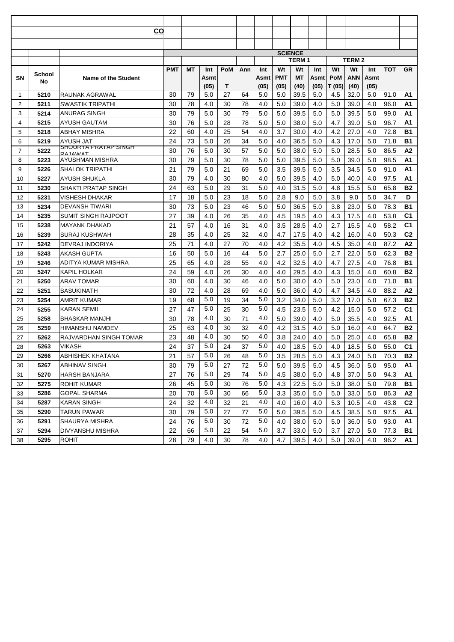|                |              | CO                                     |            |    |      |            |     |      |            |                                |      |        |              |      |            |                |
|----------------|--------------|----------------------------------------|------------|----|------|------------|-----|------|------------|--------------------------------|------|--------|--------------|------|------------|----------------|
|                |              |                                        |            |    |      |            |     |      |            |                                |      |        |              |      |            |                |
|                |              |                                        |            |    |      |            |     |      |            |                                |      |        |              |      |            |                |
|                |              |                                        |            |    |      |            |     |      |            | <b>SCIENCE</b><br><b>TERM1</b> |      |        | <b>TERM2</b> |      |            |                |
|                |              |                                        | <b>PMT</b> | МT | Int  | <b>PoM</b> | Ann | Int  | Wt         | Wt                             | Int  | Wt     | Wt           | Int  | <b>TOT</b> | <b>GR</b>      |
| SΝ             | School<br>No | <b>Name of the Student</b>             |            |    | Asmt |            |     | Asmt | <b>PMT</b> | МT                             | Asmt | PoM    | ANN          | Asmt |            |                |
|                |              |                                        |            |    | (05) | Т          |     | (05) | (05)       | (40)                           | (05) | T (05) | (40)         | (05) |            |                |
| 1              | 5210         | RAUNAK AGRAWAL                         | 30         | 79 | 5.0  | 27         | 64  | 5.0  | 5.0        | 39.5                           | 5.0  | 4.5    | 32.0         | 5.0  | 91.0       | A1             |
| $\overline{2}$ | 5211         | SWASTIK TRIPATHI                       | 30         | 78 | 4.0  | 30         | 78  | 4.0  | 5.0        | 39.0                           | 4.0  | 5.0    | 39.0         | 4.0  | 96.0       | A1             |
| 3              | 5214         | ANURAG SINGH                           | 30         | 79 | 5.0  | 30         | 79  | 5.0  | 5.0        | 39.5                           | 5.0  | 5.0    | 39.5         | 5.0  | 99.0       | A <sub>1</sub> |
| 4              | 5215         | AYUSH GAUTAM                           | 30         | 76 | 5.0  | 28         | 78  | 5.0  | 5.0        | 38.0                           | 5.0  | 4.7    | 39.0         | 5.0  | 96.7       | A1             |
| 5              | 5218         | ABHAY MISHRA                           | 22         | 60 | 4.0  | 25         | 54  | 4.0  | 3.7        | 30.0                           | 4.0  | 4.2    | 27.0         | 4.0  | 72.8       | <b>B1</b>      |
| 6              | 5219         | AYUSH JAT                              | 24         | 73 | 5.0  | 26         | 34  | 5.0  | 4.0        | 36.5                           | 5.0  | 4.3    | 17.0         | 5.0  | 71.8       | <b>B1</b>      |
| $\overline{7}$ | 5222         | <u>SHUURTA PRATAP SINGH</u><br>RAIAMAT | 30         | 76 | 5.0  | 30         | 57  | 5.0  | 5.0        | 38.0                           | 5.0  | 5.0    | 28.5         | 5.0  | 86.5       | Α2             |
| 8              | 5223         | AYUSHMAN MISHRA                        | 30         | 79 | 5.0  | 30         | 78  | 5.0  | 5.0        | 39.5                           | 5.0  | 5.0    | 39.0         | 5.0  | 98.5       | Α1             |
| 9              | 5226         | SHALOK TRIPATHI                        | 21         | 79 | 5.0  | 21         | 69  | 5.0  | 3.5        | 39.5                           | 5.0  | 3.5    | 34.5         | 5.0  | 91.0       | A1             |
| 10             | 5227         | AYUSH SHUKLA                           | 30         | 79 | 4.0  | 30         | 80  | 4.0  | 5.0        | 39.5                           | 4.0  | 5.0    | 40.0         | 4.0  | 97.5       | A1             |
| 11             | 5230         | SHAKTI PRATAP SINGH                    | 24         | 63 | 5.0  | 29         | 31  | 5.0  | 4.0        | 31.5                           | 5.0  | 4.8    | 15.5         | 5.0  | 65.8       | <b>B2</b>      |
| 12             | 5231         | <b>VISHESH DHAKAR</b>                  | 17         | 18 | 5.0  | 23         | 18  | 5.0  | 2.8        | 9.0                            | 5.0  | 3.8    | 9.0          | 5.0  | 34.7       | D              |
| 13             | 5234         | DEVANSH TIWARI                         | 30         | 73 | 5.0  | 23         | 46  | 5.0  | 5.0        | 36.5                           | 5.0  | 3.8    | 23.0         | 5.0  | 78.3       | <b>B1</b>      |
| 14             | 5235         | SUMIT SINGH RAJPOOT                    | 27         | 39 | 4.0  | 26         | 35  | 4.0  | 4.5        | 19.5                           | 4.0  | 4.3    | 17.5         | 4.0  | 53.8       | C <sub>1</sub> |
| 15             | 5238         | MAYANK DHAKAD                          | 21         | 57 | 4.0  | 16         | 31  | 4.0  | 3.5        | 28.5                           | 4.0  | 2.7    | 15.5         | 4.0  | 58.2       | C <sub>1</sub> |
| 16             | 5239         | SURAJ KUSHWAH                          | 28         | 35 | 4.0  | 25         | 32  | 4.0  | 4.7        | 17.5                           | 4.0  | 4.2    | 16.0         | 4.0  | 50.3       | C <sub>2</sub> |
| 17             | 5242         | DEVRAJ INDORIYA                        | 25         | 71 | 4.0  | 27         | 70  | 4.0  | 4.2        | 35.5                           | 4.0  | 4.5    | 35.0         | 4.0  | 87.2       | A2             |
| 18             | 5243         | AKASH GUPTA                            | 16         | 50 | 5.0  | 16         | 44  | 5.0  | 2.7        | 25.0                           | 5.0  | 2.7    | 22.0         | 5.0  | 62.3       | <b>B2</b>      |
| 19             | 5246         | ADITYA KUMAR MISHRA                    | 25         | 65 | 4.0  | 28         | 55  | 4.0  | 4.2        | 32.5                           | 4.0  | 4.7    | 27.5         | 4.0  | 76.8       | <b>B1</b>      |
| 20             | 5247         | KAPIL HOLKAR                           | 24         | 59 | 4.0  | 26         | 30  | 4.0  | 4.0        | 29.5                           | 4.0  | 4.3    | 15.0         | 4.0  | 60.8       | <b>B2</b>      |
| 21             | 5250         | ARAV TOMAR                             | 30         | 60 | 4.0  | 30         | 46  | 4.0  | 5.0        | 30.0                           | 4.0  | 5.0    | 23.0         | 4.0  | 71.0       | <b>B1</b>      |
| 22             | 5251         | <b>BASUKINATH</b>                      | 30         | 72 | 4.0  | 28         | 69  | 4.0  | 5.0        | 36.0                           | 4.0  | 4.7    | 34.5         | 4.0  | 88.2       | A2             |
| 23             | 5254         | AMRIT KUMAR                            | 19         | 68 | 5.0  | 19         | 34  | 5.0  | 3.2        | 34.0                           | 5.0  | 3.2    | 17.0         | 5.0  | 67.3       | <b>B2</b>      |
| 24             | 5255         | KARAN SEMIL                            | 27         | 47 | 5.0  | 25         | 30  | 5.0  | 4.5        | 23.5                           | 5.0  | 4.2    | 15.0         | 5.0  | 57.2       | C <sub>1</sub> |
| 25             | 5258         | <b>BHASKAR MANJHI</b>                  | 30         | 78 | 4.0  | 30         | 71  | 4.0  | 5.0        | 39.0                           | 4.0  | 5.0    | 35.5         | 4.0  | 92.5       | A1             |
| 26             | 5259         | HIMANSHU NAMDEV                        | 25         | 63 | 4.0  | 30         | 32  | 4.0  | 4.2        | 31.5                           | 4.0  | 5.0    | 16.0         | 4.0  | 64.7       | <b>B2</b>      |
| 27             | 5262         | RAJVARDHAN SINGH TOMAR                 | 23         | 48 | 4.0  | 30         | 50  | 4.0  | 3.8        | 24.0                           | 4.0  | 5.0    | 25.0         | 4.0  | 65.8       | <b>B2</b>      |
| 28             | 5263         | VIKASH                                 | 24         | 37 | 5.0  | 24         | 37  | 5.0  | 4.0        | 18.5                           | 5.0  | 4.0    | 18.5         | 5.0  | 55.0       | C <sub>1</sub> |
| 29             | 5266         | <b>ABHISHEK KHATANA</b>                | 21         | 57 | 5.0  | 26         | 48  | 5.0  | 3.5        | 28.5                           | 5.0  | 4.3    | 24.0         | 5.0  | 70.3       | <b>B2</b>      |
| 30             | 5267         | ABHINAV SINGH                          | 30         | 79 | 5.0  | 27         | 72  | 5.0  | 5.0        | 39.5                           | 5.0  | 4.5    | 36.0         | 5.0  | 95.0       | Α1             |
| 31             | 5270         | HARSH BANJARA                          | 27         | 76 | 5.0  | 29         | 74  | 5.0  | 4.5        | 38.0                           | 5.0  | 4.8    | 37.0         | 5.0  | 94.3       | А1             |
| 32             | 5275         | ROHIT KUMAR                            | 26         | 45 | 5.0  | 30         | 76  | 5.0  | 4.3        | 22.5                           | 5.0  | 5.0    | 38.0         | 5.0  | 79.8       | B1             |
| 33             | 5286         | GOPAL SHARMA                           | 20         | 70 | 5.0  | 30         | 66  | 5.0  | 3.3        | 35.0                           | 5.0  | 5.0    | 33.0         | 5.0  | 86.3       | A2             |
| 34             | 5287         | KARAN SINGH                            | 24         | 32 | 4.0  | 32         | 21  | 4.0  | 4.0        | 16.0                           | 4.0  | 5.3    | 10.5         | 4.0  | 43.8       | C <sub>2</sub> |
| 35             | 5290         | TARUN PAWAR                            | 30         | 79 | 5.0  | 27         | 77  | 5.0  | 5.0        | 39.5                           | 5.0  | 4.5    | 38.5         | 5.0  | 97.5       | A1             |
| 36             | 5291         | SHAURYA MISHRA                         | 24         | 76 | 5.0  | 30         | 72  | 5.0  | 4.0        | 38.0                           | 5.0  | 5.0    | 36.0         | 5.0  | 93.0       | А1             |
| 37             | 5294         | DIVYANSHU MISHRA                       | 22         | 66 | 5.0  | 22         | 54  | 5.0  | 3.7        | 33.0                           | 5.0  | 3.7    | 27.0         | 5.0  | 77.3       | B1             |
| 38             | 5295         | <b>ROHIT</b>                           | 28         | 79 | 4.0  | 30         | 78  | 4.0  | 4.7        | 39.5                           | 4.0  | 5.0    | 39.0         | 4.0  | 96.2       | A1.            |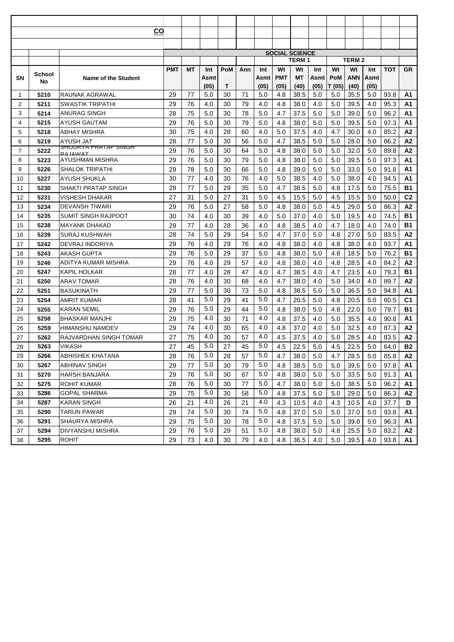| CO             |              |                                        |    |    |      |            |     |      |                       |              |      |          |                   |         |            |                |
|----------------|--------------|----------------------------------------|----|----|------|------------|-----|------|-----------------------|--------------|------|----------|-------------------|---------|------------|----------------|
|                |              |                                        |    |    |      |            |     |      |                       |              |      |          |                   |         |            |                |
|                |              |                                        |    |    |      |            |     |      |                       |              |      |          |                   |         |            |                |
|                |              |                                        |    |    |      |            |     |      | <b>SOCIAL SCIENCE</b> | <b>TERM1</b> |      |          | TERM <sub>2</sub> |         |            |                |
|                |              |                                        |    | МT | Int  | <b>PoM</b> | Ann | Int  | Wt                    | Wt           | Int  | Wt<br>Wt |                   | Int     | <b>TOT</b> | <b>GR</b>      |
| SΝ             | School<br>No | <b>Name of the Student</b>             |    |    | Asmt |            |     | Asmt | <b>PMT</b>            | МT           | Asmt | PoM      | ANN               | Asmt    |            |                |
|                |              |                                        |    |    | (05) | Т          |     | (05) | (05)                  | (40)         | (05) | T (05)   | (40)              | (05)    |            |                |
| 1              | 5210         | RAUNAK AGRAWAL                         | 29 | 77 | 5.0  | 30         | 71  | 5.0  | 4.8                   | 38.5         | 5.0  | 5.0      | 35.5              | 5.0     | 93.8       | A1             |
| $\overline{2}$ | 5211         | SWASTIK TRIPATHI                       | 29 | 76 | 4.0  | 30         | 79  | 4.0  | 4.8                   | 38.0         | 4.0  | 5.0      | 39.5              | 4.0     | 95.3       | A1             |
| 3              | 5214         | ANURAG SINGH                           | 28 | 75 | 5.0  | 30         | 78  | 5.0  | 4.7                   | 37.5         | 5.0  | 5.0      | 39.0              | 5.0     | 96.2       | A1             |
| 4              | 5215         | AYUSH GAUTAM                           | 29 | 76 | 5.0  | 30         | 79  | 5.0  | 4.8                   | 38.0         | 5.0  | 5.0      | 39.5              | 5.0     | 97.3       | A1             |
| 5              | 5218         | ABHAY MISHRA                           | 30 | 75 | 4.0  | 28         | 60  | 4.0  | 5.0                   | 37.5         | 4.0  | 4.7      | 30.0              | 4.0     | 85.2       | A2             |
| 6              | 5219         | AYUSH JAT                              | 28 | 77 | 5.0  | 30         | 56  | 5.0  | 4.7                   | 38.5         | 5.0  | 5.0      | 28.0              | 5.0     | 86.2       | A2             |
| $\overline{7}$ | 5222         | <u>SHUURTA PRATAP SINGH</u><br>RAIAMAT | 29 | 76 | 5.0  | 30         | 64  | 5.0  | 4.8                   | 38.0         | 5.0  | 5.0      | 32.0              | 5.0     | 89.8       | Α2             |
| 8              | 5223         | AYUSHMAN MISHRA                        | 29 | 76 | 5.0  | 30         | 79  | 5.0  | 4.8                   | 38.0         | 5.0  | 5.0      | 39.5              | 5.0     | 97.3       | Α1             |
| 9              | 5226         | SHALOK TRIPATHI                        | 29 | 78 | 5.0  | 30         | 66  | 5.0  | 4.8                   | 39.0         | 5.0  | 5.0      | 33.0              | 5.0     | 91.8       | Α1             |
| 10             | 5227         | AYUSH SHUKLA                           | 30 | 77 | 4.0  | 30         | 76  | 4.0  | 5.0                   | 38.5         | 4.0  | 5.0      | 38.0              | 4.0     | 94.5       | A1             |
| 11             | 5230         | SHAKTI PRATAP SINGH                    | 28 | 77 | 5.0  | 29         | 35  | 5.0  | 4.7                   | 38.5         | 5.0  | 4.8      | 17.5              | 5.0     | 75.5       | <b>B1</b>      |
| 12             | 5231         | <b>VISHESH DHAKAR</b>                  | 27 | 31 | 5.0  | 27         | 31  | 5.0  | 4.5                   | 15.5         | 5.0  | 4.5      | 15.5              | 5.0     | 50.0       | C <sub>2</sub> |
| 13             | 5234         | DEVANSH TIWARI                         | 29 | 76 | 5.0  | 27         | 58  | 5.0  | 4.8                   | 38.0         | 5.0  | 4.5      | 29.0              | 5.0     | 86.3       | A2             |
| 14             | 5235         | SUMIT SINGH RAJPOOT                    | 30 | 74 | 4.0  | 30         | 39  | 4.0  | 5.0                   | 37.0         | 4.0  | 5.0      | 19.5              | 4.0     | 74.5       | <b>B1</b>      |
| 15             | 5238         | MAYANK DHAKAD                          | 29 | 77 | 4.0  | 28         | 36  | 4.0  | 4.8                   | 38.5         | 4.0  | 4.7      | 18.0              | 4.0     | 74.0       | <b>B1</b>      |
| 16             | 5239         | SURAJ KUSHWAH                          | 28 | 74 | 5.0  | 29         | 54  | 5.0  | 4.7                   | 37.0         | 5.0  | 4.8      | 27.0              | 5.0     | 83.5       | A2             |
| 17             | 5242         | DEVRAJ INDORIYA                        | 29 | 76 | 4.0  | 29         | 76  | 4.0  | 4.8                   | 38.0         | 4.0  | 4.8      | 38.0              | 4.0     | 93.7       | A1             |
| 18             | 5243         | AKASH GUPTA                            | 29 | 76 | 5.0  | 29         | 37  | 5.0  | 4.8                   | 38.0         | 5.0  | 4.8      | 18.5              | 5.0     | 76.2       | <b>B1</b>      |
| 19             | 5246         | ADITYA KUMAR MISHRA                    | 29 | 76 | 4.0  | 29         | 57  | 4.0  | 4.8                   | 38.0         | 4.0  | 4.8      | 28.5              | 4.0     | 84.2       | A2             |
| 20             | 5247         | KAPIL HOLKAR                           | 28 | 77 | 4.0  | 28         | 47  | 4.0  | 4.7                   | 38.5         | 4.0  | 4.7      | 23.5              | 4.0     | 79.3       | <b>B1</b>      |
| 21             | 5250         | ARAV TOMAR                             | 28 | 76 | 4.0  | 30         | 68  | 4.0  | 4.7                   | 38.0         | 4.0  | 5.0      | 34.0              | 4.0     | 89.7       | A2             |
| 22             | 5251         | <b>BASUKINATH</b>                      | 29 | 77 | 5.0  | 30         | 73  | 5.0  | 4.8                   | 38.5         | 5.0  | 5.0      | 36.5              | 5.0     | 94.8       | A1             |
| 23             | 5254         | AMRIT KUMAR                            | 28 | 41 | 5.0  | 29         | 41  | 5.0  | 4.7                   | 20.5         | 5.0  | 4.8      | 20.5              | 5.0     | 60.5       | C <sub>1</sub> |
| 24             | 5255         | KARAN SEMIL                            | 29 | 76 | 5.0  | 29         | 44  | 5.0  | 4.8                   | 38.0         | 5.0  | 4.8      | 22.0              | 5.0     | 79.7       | <b>B1</b>      |
| 25             | 5258         | <b>BHASKAR MANJHI</b>                  | 29 | 75 | 4.0  | 30         | 71  | 4.0  | 4.8                   | 37.5         | 4.0  | 5.0      | 35.5              | 4.0     | 90.8       | A1             |
| 26             | 5259         | HIMANSHU NAMDEV                        | 29 | 74 | 4.0  | 30         | 65  | 4.0  | 4.8                   | 37.0         | 4.0  | 5.0      | 32.5              | 4.0     | 87.3       | A2             |
| 27             | 5262         | RAJVARDHAN SINGH TOMAR                 | 27 | 75 | 4.0  | 30         | 57  | 4.0  | 4.5                   | 37.5         | 4.0  | 5.0      | 28.5              | 4.0     | 83.5       | А2             |
| 28             | 5263         | VIKASH                                 | 27 | 45 | 5.0  | 27         | 45  | 5.0  | 4.5                   | 22.5         | 5.0  | 4.5      | 22.5              | 5.0     | 64.0       | <b>B2</b>      |
| 29             | 5266         | <b>ABHISHEK KHATANA</b>                | 28 | 76 | 5.0  | 28         | 57  | 5.0  | 4.7                   | 38.0         | 5.0  | 4.7      | 28.5              | $5.0\,$ | 85.8       | A2             |
| 30             | 5267         | ABHINAV SINGH                          | 29 | 77 | 5.0  | 30         | 79  | 5.0  | 4.8                   | 38.5         | 5.0  | 5.0      | 39.5              | 5.0     | 97.8       | Α1             |
| 31             | 5270         | HARSH BANJARA                          | 29 | 76 | 5.0  | 30         | 67  | 5.0  | 4.8                   | 38.0         | 5.0  | 5.0      | 33.5              | 5.0     | 91.3       | А1             |
| 32             | 5275         | ROHIT KUMAR                            | 28 | 76 | 5.0  | 30         | 77  | 5.0  | 4.7                   | 38.0         | 5.0  | 5.0      | 38.5              | 5.0     | 96.2       | А1             |
| 33             | 5286         | GOPAL SHARMA                           | 29 | 75 | 5.0  | 30         | 58  | 5.0  | 4.8                   | 37.5         | 5.0  | 5.0      | 29.0              | 5.0     | 86.3       | A2             |
| 34             | 5287         | KARAN SINGH                            | 26 | 21 | 4.0  | 26         | 21  | 4.0  | 4.3                   | 10.5         | 4.0  | 4.3      | 10.5              | 4.0     | 37.7       | D              |
| 35             | 5290         | TARUN PAWAR                            | 29 | 74 | 5.0  | 30         | 74  | 5.0  | 4.8                   | 37.0         | 5.0  | 5.0      | 37.0              | 5.0     | 93.8       | A1             |
| 36             | 5291         | SHAURYA MISHRA                         | 29 | 75 | 5.0  | 30         | 78  | 5.0  | 4.8                   | 37.5         | 5.0  | 5.0      | 39.0              | 5.0     | 96.3       | А1             |
| 37             | 5294         | DIVYANSHU MISHRA                       | 29 | 76 | 5.0  | 29         | 51  | 5.0  | 4.8                   | 38.0         | 5.0  | 4.8      | 25.5              | 5.0     | 83.2       | A2             |
| 38             | 5295         | <b>ROHIT</b>                           | 29 | 73 | 4.0  | 30         | 79  | 4.0  | 4.8                   | 36.5         | 4.0  | 5.0      | 39.5              | 4.0     | 93.8       | A1             |